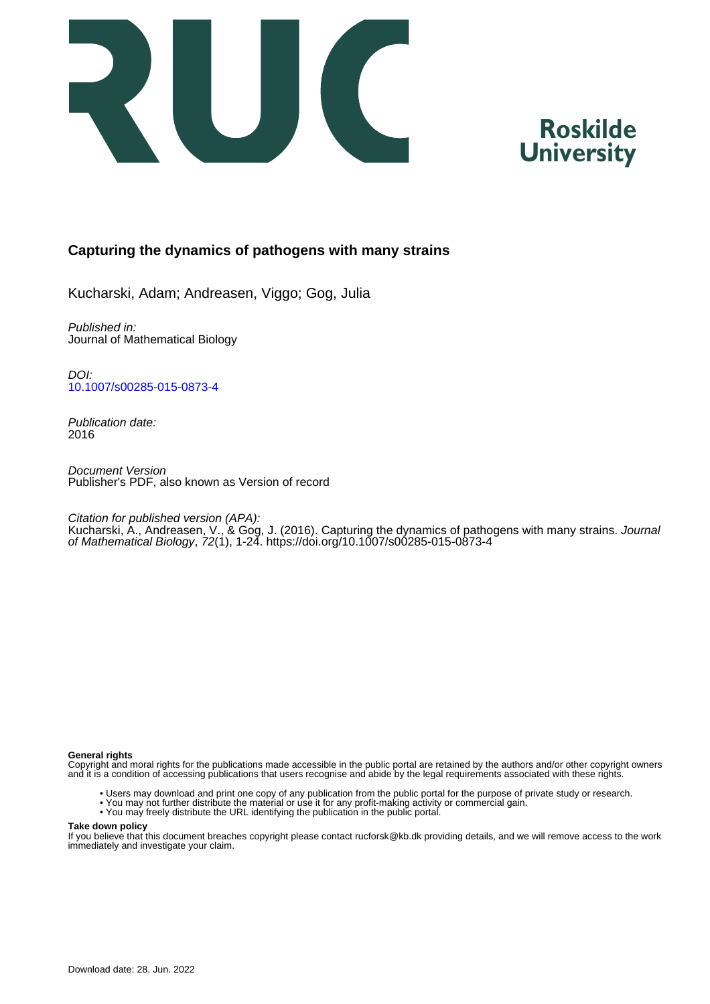



# **Capturing the dynamics of pathogens with many strains**

Kucharski, Adam; Andreasen, Viggo; Gog, Julia

Published in: Journal of Mathematical Biology

DOI: [10.1007/s00285-015-0873-4](https://doi.org/10.1007/s00285-015-0873-4)

Publication date: 2016

Document Version Publisher's PDF, also known as Version of record

Citation for published version (APA):

Kucharski, A., Andreasen, V., & Gog, J. (2016). Capturing the dynamics of pathogens with many strains. *Journal* of Mathematical Biology, 72(1), 1-24.<https://doi.org/10.1007/s00285-015-0873-4>

# **General rights**

Copyright and moral rights for the publications made accessible in the public portal are retained by the authors and/or other copyright owners and it is a condition of accessing publications that users recognise and abide by the legal requirements associated with these rights.

- Users may download and print one copy of any publication from the public portal for the purpose of private study or research.
- You may not further distribute the material or use it for any profit-making activity or commercial gain.
- You may freely distribute the URL identifying the publication in the public portal.

#### **Take down policy**

If you believe that this document breaches copyright please contact rucforsk@kb.dk providing details, and we will remove access to the work immediately and investigate your claim.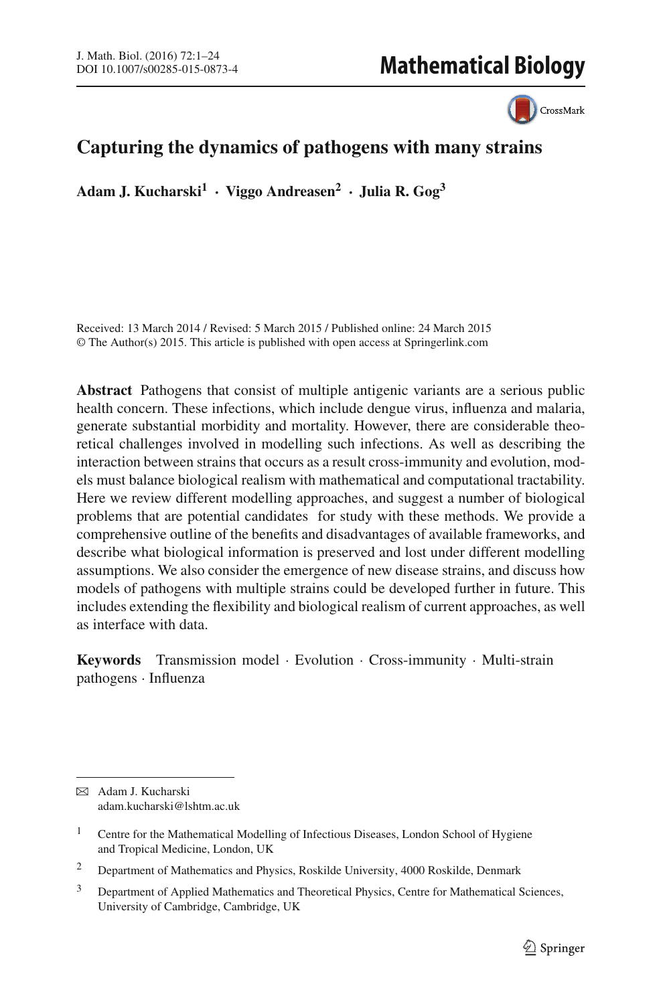CrossMark

# **Capturing the dynamics of pathogens with many strains**

**Adam J. Kucharski1 · Viggo Andreasen2 · Julia R. Gog3**

Received: 13 March 2014 / Revised: 5 March 2015 / Published online: 24 March 2015 © The Author(s) 2015. This article is published with open access at Springerlink.com

**Abstract** Pathogens that consist of multiple antigenic variants are a serious public health concern. These infections, which include dengue virus, influenza and malaria, generate substantial morbidity and mortality. However, there are considerable theoretical challenges involved in modelling such infections. As well as describing the interaction between strains that occurs as a result cross-immunity and evolution, models must balance biological realism with mathematical and computational tractability. Here we review different modelling approaches, and suggest a number of biological problems that are potential candidates for study with these methods. We provide a comprehensive outline of the benefits and disadvantages of available frameworks, and describe what biological information is preserved and lost under different modelling assumptions. We also consider the emergence of new disease strains, and discuss how models of pathogens with multiple strains could be developed further in future. This includes extending the flexibility and biological realism of current approaches, as well as interface with data.

**Keywords** Transmission model · Evolution · Cross-immunity · Multi-strain pathogens · Influenza

B Adam J. Kucharski adam.kucharski@lshtm.ac.uk

<sup>&</sup>lt;sup>1</sup> Centre for the Mathematical Modelling of Infectious Diseases, London School of Hygiene and Tropical Medicine, London, UK

<sup>2</sup> Department of Mathematics and Physics, Roskilde University, 4000 Roskilde, Denmark

<sup>&</sup>lt;sup>3</sup> Department of Applied Mathematics and Theoretical Physics, Centre for Mathematical Sciences, University of Cambridge, Cambridge, UK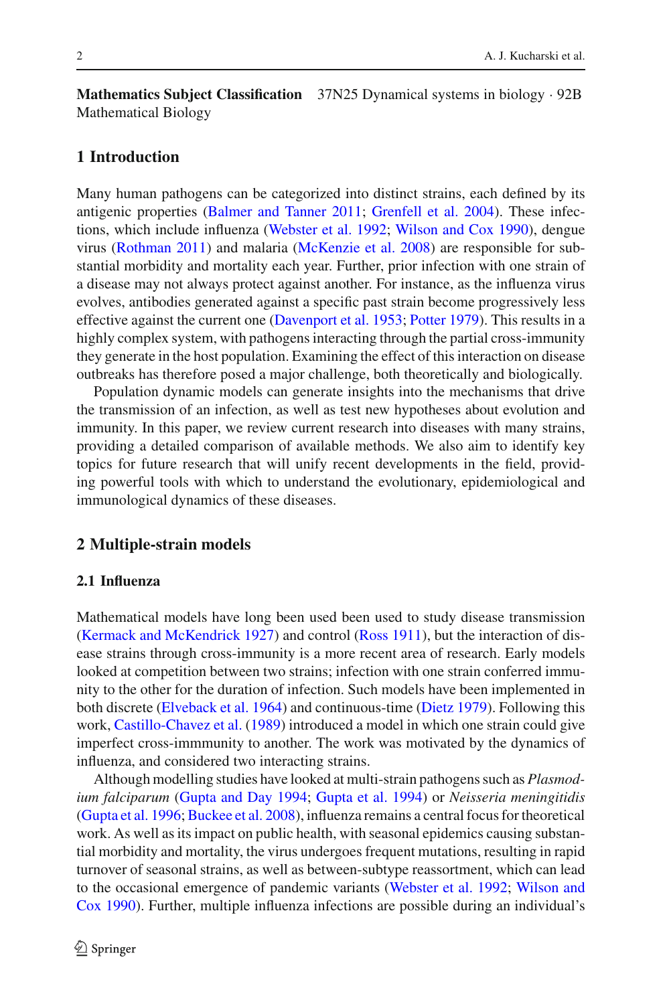**Mathematics Subject Classification** 37N25 Dynamical systems in biology · 92B Mathematical Biology

# **1 Introduction**

Many human pathogens can be categorized into distinct strains, each defined by its antigenic properties [\(Balmer and Tanner 2011](#page-21-0); [Grenfell et al. 2004\)](#page-22-0). These infections, which include influenza [\(Webster et al. 1992](#page-24-0); [Wilson and Cox 1990](#page-24-1)), dengue virus [\(Rothman 2011\)](#page-24-2) and malaria [\(McKenzie et al. 2008](#page-23-0)) are responsible for substantial morbidity and mortality each year. Further, prior infection with one strain of a disease may not always protect against another. For instance, as the influenza virus evolves, antibodies generated against a specific past strain become progressively less effective against the current one [\(Davenport et al. 1953;](#page-22-1) [Potter 1979\)](#page-24-3). This results in a highly complex system, with pathogens interacting through the partial cross-immunity they generate in the host population. Examining the effect of this interaction on disease outbreaks has therefore posed a major challenge, both theoretically and biologically.

Population dynamic models can generate insights into the mechanisms that drive the transmission of an infection, as well as test new hypotheses about evolution and immunity. In this paper, we review current research into diseases with many strains, providing a detailed comparison of available methods. We also aim to identify key topics for future research that will unify recent developments in the field, providing powerful tools with which to understand the evolutionary, epidemiological and immunological dynamics of these diseases.

# **2 Multiple-strain models**

#### **2.1 Influenza**

Mathematical models have long been used been used to study disease transmission [\(Kermack and McKendrick 1927\)](#page-23-1) and control [\(Ross 1911\)](#page-24-4), but the interaction of disease strains through cross-immunity is a more recent area of research. Early models looked at competition between two strains; infection with one strain conferred immunity to the other for the duration of infection. Such models have been implemented in both discrete [\(Elveback et al. 1964](#page-22-2)) and continuous-time [\(Dietz 1979\)](#page-22-3). Following this work, [Castillo-Chavez et al.](#page-22-4) [\(1989](#page-22-4)) introduced a model in which one strain could give imperfect cross-immmunity to another. The work was motivated by the dynamics of influenza, and considered two interacting strains.

Although modelling studies have looked at multi-strain pathogens such as *Plasmodium falciparum* [\(Gupta and Day 1994;](#page-22-5) [Gupta et al. 1994](#page-22-6)) or *Neisseria meningitidis* [\(Gupta et al. 1996](#page-22-7); [Buckee et al. 2008\)](#page-21-1), influenza remains a central focus for theoretical work. As well as its impact on public health, with seasonal epidemics causing substantial morbidity and mortality, the virus undergoes frequent mutations, resulting in rapid turnover of seasonal strains, as well as between-subtype reassortment, which can lead to t[he](#page-24-1) [occasional](#page-24-1) [emergence](#page-24-1) [of](#page-24-1) [pandemic](#page-24-1) [variants](#page-24-1) [\(Webster et al. 1992;](#page-24-0) Wilson and Cox [1990\)](#page-24-1). Further, multiple influenza infections are possible during an individual's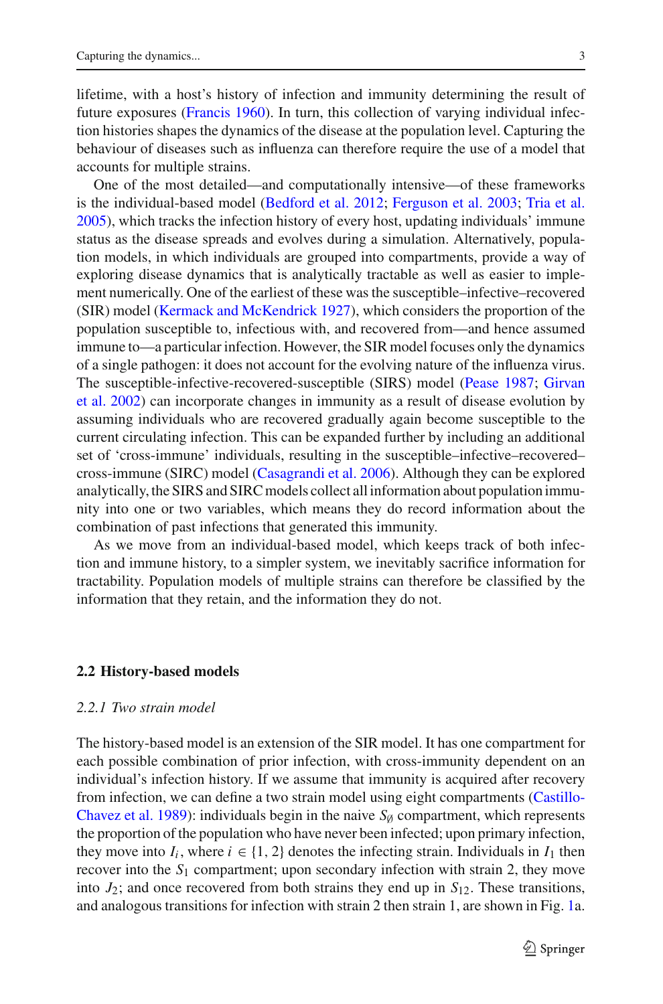lifetime, with a host's history of infection and immunity determining the result of future exposures [\(Francis 1960\)](#page-22-8). In turn, this collection of varying individual infection histories shapes the dynamics of the disease at the population level. Capturing the behaviour of diseases such as influenza can therefore require the use of a model that accounts for multiple strains.

One of the most detailed—and computationally intensive—of these frameworks is the individual-based model [\(Bedford et al. 2012;](#page-21-2) [Ferguson et al. 2003](#page-22-9); [Tria et al.](#page-24-5) [2005\)](#page-24-5), which tracks the infection history of every host, updating individuals' immune status as the disease spreads and evolves during a simulation. Alternatively, population models, in which individuals are grouped into compartments, provide a way of exploring disease dynamics that is analytically tractable as well as easier to implement numerically. One of the earliest of these was the susceptible–infective–recovered (SIR) model [\(Kermack and McKendrick 1927\)](#page-23-1), which considers the proportion of the population susceptible to, infectious with, and recovered from—and hence assumed immune to—a particular infection. However, the SIR model focuses only the dynamics of a single pathogen: it does not account for the evolving nature of the influenza virus. The [susceptible-infective-recovered-susceptible](#page-22-10) [\(SIRS\)](#page-22-10) [model](#page-22-10) [\(Pease 1987](#page-24-6)[;](#page-22-10) Girvan et al. [2002](#page-22-10)) can incorporate changes in immunity as a result of disease evolution by assuming individuals who are recovered gradually again become susceptible to the current circulating infection. This can be expanded further by including an additional set of 'cross-immune' individuals, resulting in the susceptible–infective–recovered– cross-immune (SIRC) model [\(Casagrandi et al. 2006\)](#page-22-11). Although they can be explored analytically, the SIRS and SIRC models collect all information about population immunity into one or two variables, which means they do record information about the combination of past infections that generated this immunity.

As we move from an individual-based model, which keeps track of both infection and immune history, to a simpler system, we inevitably sacrifice information for tractability. Population models of multiple strains can therefore be classified by the information that they retain, and the information they do not.

#### **2.2 History-based models**

## *2.2.1 Two strain model*

The history-based model is an extension of the SIR model. It has one compartment for each possible combination of prior infection, with cross-immunity dependent on an individual's infection history. If we assume that immunity is acquired after recovery from infecti[on,](#page-22-4) [we](#page-22-4) [can](#page-22-4) [define](#page-22-4) [a](#page-22-4) [two](#page-22-4) [strain](#page-22-4) [model](#page-22-4) [using](#page-22-4) [eight](#page-22-4) [compartments](#page-22-4) [\(](#page-22-4)Castillo-Chavez et al. [1989](#page-22-4)): individuals begin in the naive  $S_{\emptyset}$  compartment, which represents the proportion of the population who have never been infected; upon primary infection, they move into  $I_i$ , where  $i \in \{1, 2\}$  denotes the infecting strain. Individuals in  $I_1$  then recover into the *S*<sup>1</sup> compartment; upon secondary infection with strain 2, they move into  $J_2$ ; and once recovered from both strains they end up in  $S_{12}$ . These transitions, and analogous transitions for infection with strain 2 then strain 1, are shown in Fig. [1a](#page-4-0).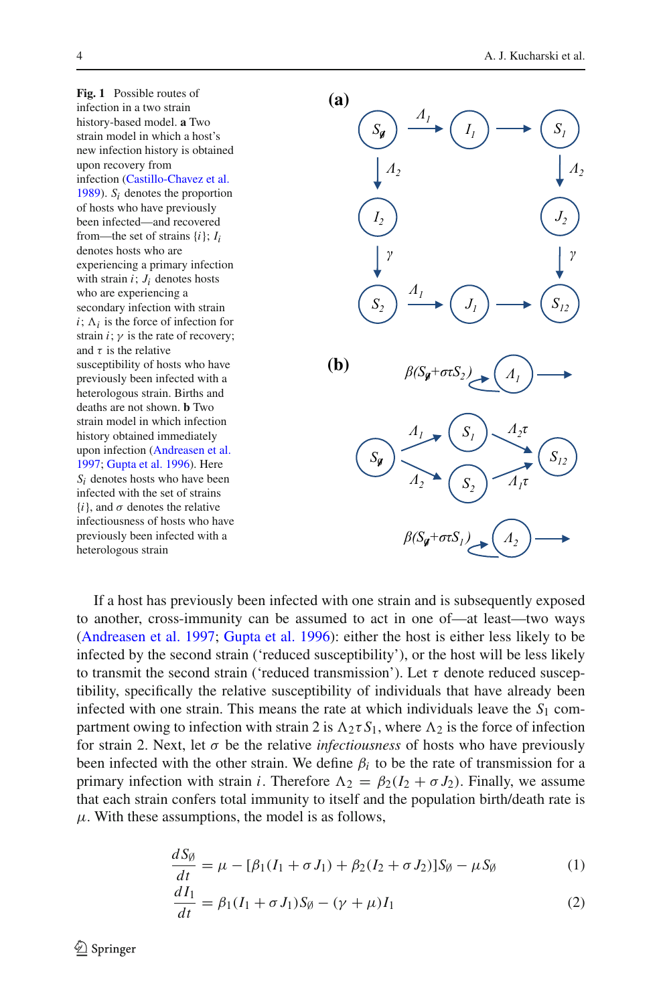<span id="page-4-0"></span>



If a host has previously been infected with one strain and is subsequently exposed to another, cross-immunity can be assumed to act in one of—at least—two ways [\(Andreasen et al. 1997;](#page-21-3) [Gupta et al. 1996\)](#page-22-7): either the host is either less likely to be infected by the second strain ('reduced susceptibility'), or the host will be less likely to transmit the second strain ('reduced transmission'). Let  $\tau$  denote reduced susceptibility, specifically the relative susceptibility of individuals that have already been infected with one strain. This means the rate at which individuals leave the  $S_1$  compartment owing to infection with strain 2 is  $\Lambda_2 \tau S_1$ , where  $\Lambda_2$  is the force of infection for strain 2. Next, let  $\sigma$  be the relative *infectiousness* of hosts who have previously been infected with the other strain. We define  $\beta_i$  to be the rate of transmission for a primary infection with strain *i*. Therefore  $\Lambda_2 = \beta_2 (I_2 + \sigma J_2)$ . Finally, we assume that each strain confers total immunity to itself and the population birth/death rate is  $\mu$ . With these assumptions, the model is as follows,

$$
\frac{dS_{\emptyset}}{dt} = \mu - [\beta_1 (I_1 + \sigma J_1) + \beta_2 (I_2 + \sigma J_2)] S_{\emptyset} - \mu S_{\emptyset}
$$
(1)

$$
\frac{dI_1}{dt} = \beta_1 (I_1 + \sigma J_1) S_{\emptyset} - (\gamma + \mu) I_1
$$
\n(2)

 $\circled{2}$  Springer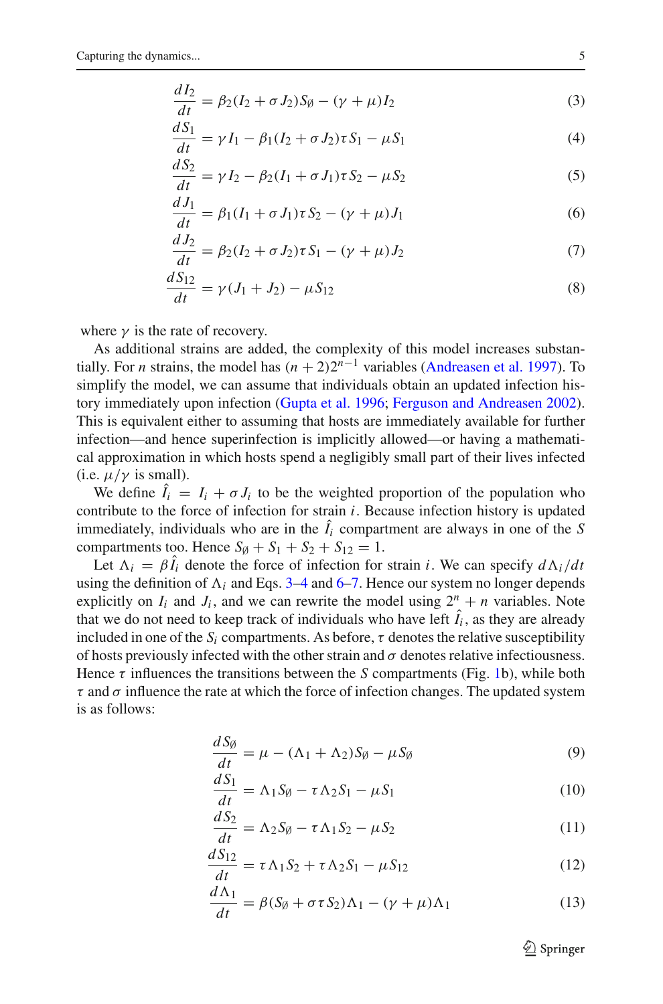<span id="page-5-1"></span><span id="page-5-0"></span>
$$
\frac{dI_2}{dt} = \beta_2 (I_2 + \sigma J_2) S_{\emptyset} - (\gamma + \mu) I_2
$$
\n(3)

$$
\frac{dS_1}{dt} = \gamma I_1 - \beta_1 (I_2 + \sigma J_2) \tau S_1 - \mu S_1
$$
\n(4)

$$
\frac{dS_2}{dt} = \gamma I_2 - \beta_2 (I_1 + \sigma J_1) \tau S_2 - \mu S_2 \tag{5}
$$

<span id="page-5-2"></span>
$$
\frac{dJ_1}{dt} = \beta_1 (I_1 + \sigma J_1) \tau S_2 - (\gamma + \mu) J_1
$$
\n(6)

<span id="page-5-3"></span>
$$
\frac{dJ_2}{dt} = \beta_2 (I_2 + \sigma J_2) \tau S_1 - (\gamma + \mu) J_2 \tag{7}
$$

$$
\frac{dS_{12}}{dt} = \gamma (J_1 + J_2) - \mu S_{12}
$$
\n(8)

where  $\gamma$  is the rate of recovery.

As additional strains are added, the complexity of this model increases substantially. For *n* strains, the model has  $(n + 2)2^{n-1}$  variables [\(Andreasen et al. 1997](#page-21-3)). To simplify the model, we can assume that individuals obtain an updated infection history immediately upon infection [\(Gupta et al. 1996](#page-22-7); [Ferguson and Andreasen 2002](#page-22-12)). This is equivalent either to assuming that hosts are immediately available for further infection—and hence superinfection is implicitly allowed—or having a mathematical approximation in which hosts spend a negligibly small part of their lives infected (i.e.  $\mu/\gamma$  is small).

We define  $\hat{I}_i = I_i + \sigma J_i$  to be the weighted proportion of the population who contribute to the force of infection for strain *i*. Because infection history is updated immediately, individuals who are in the  $I_i$  compartment are always in one of the  $S$ compartments too. Hence  $S_{\emptyset} + S_1 + S_2 + S_{12} = 1$ .

Let  $\Lambda_i = \beta I_i$  denote the force of infection for strain *i*. We can specify  $d\Lambda_i/dt$ using the definition of  $\Lambda_i$  and Eqs. [3](#page-5-0)[–4](#page-5-1) and [6](#page-5-2)[–7.](#page-5-3) Hence our system no longer depends explicitly on  $I_i$  and  $J_i$ , and we can rewrite the model using  $2^n + n$  variables. Note that we do not need to keep track of individuals who have left  $I_i$ , as they are already included in one of the  $S_i$  compartments. As before,  $\tau$  denotes the relative susceptibility of hosts previously infected with the other strain and  $\sigma$  denotes relative infectiousness. Hence  $\tau$  influences the transitions between the *S* compartments (Fig. [1b](#page-4-0)), while both  $\tau$  and  $\sigma$  influence the rate at which the force of infection changes. The updated system is as follows:

$$
\frac{dS_{\emptyset}}{dt} = \mu - (\Lambda_1 + \Lambda_2)S_{\emptyset} - \mu S_{\emptyset}
$$
\n(9)

$$
\frac{dS_1}{dt} = \Lambda_1 S_{\emptyset} - \tau \Lambda_2 S_1 - \mu S_1 \tag{10}
$$

$$
\frac{dS_2}{dt} = \Lambda_2 S_{\emptyset} - \tau \Lambda_1 S_2 - \mu S_2 \tag{11}
$$

$$
\frac{dS_{12}}{dt} = \tau \Lambda_1 S_2 + \tau \Lambda_2 S_1 - \mu S_{12}
$$
 (12)

$$
\frac{d\Lambda_1}{dt} = \beta(S_\emptyset + \sigma \tau S_2)\Lambda_1 - (\gamma + \mu)\Lambda_1 \tag{13}
$$

 $\mathcal{L}$  Springer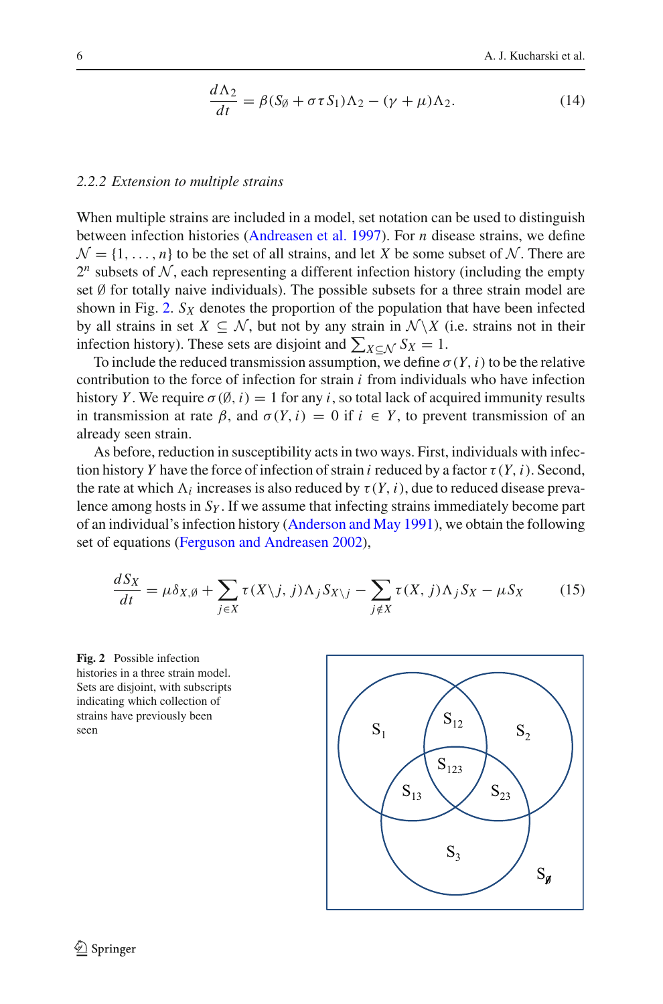$$
\frac{d\Lambda_2}{dt} = \beta(S_\emptyset + \sigma \tau S_1)\Lambda_2 - (\gamma + \mu)\Lambda_2.
$$
 (14)

## *2.2.2 Extension to multiple strains*

When multiple strains are included in a model, set notation can be used to distinguish between infection histories [\(Andreasen et al. 1997\)](#page-21-3). For *n* disease strains, we define  $\mathcal{N} = \{1, \ldots, n\}$  to be the set of all strains, and let *X* be some subset of *N*. There are  $2^n$  subsets of N, each representing a different infection history (including the empty set  $\emptyset$  for totally naive individuals). The possible subsets for a three strain model are shown in Fig. [2.](#page-6-0)  $S_X$  denotes the proportion of the population that have been infected by all strains in set  $X \subseteq \mathcal{N}$ , but not by any strain in  $\mathcal{N} \backslash X$  (i.e. strains not in their infection history). These sets are disjoint and  $\sum_{X \subseteq \mathcal{N}} S_X = 1$ .

To include the reduced transmission assumption, we define  $\sigma(Y, i)$  to be the relative contribution to the force of infection for strain *i* from individuals who have infection history *Y*. We require  $\sigma(\emptyset, i) = 1$  for any *i*, so total lack of acquired immunity results in transmission at rate  $\beta$ , and  $\sigma(Y, i) = 0$  if  $i \in Y$ , to prevent transmission of an already seen strain.

As before, reduction in susceptibility acts in two ways. First, individuals with infection history *Y* have the force of infection of strain *i* reduced by a factor  $\tau(Y, i)$ . Second, the rate at which  $\Lambda_i$  increases is also reduced by  $\tau(Y, i)$ , due to reduced disease prevalence among hosts in *SY* . If we assume that infecting strains immediately become part of an individual's infection history [\(Anderson and May 1991\)](#page-21-4), we obtain the following set of equations [\(Ferguson and Andreasen 2002](#page-22-12)),

<span id="page-6-1"></span>
$$
\frac{dS_X}{dt} = \mu \delta_{X,\emptyset} + \sum_{j \in X} \tau(X \setminus j, j) \Lambda_j S_{X \setminus j} - \sum_{j \notin X} \tau(X, j) \Lambda_j S_X - \mu S_X \tag{15}
$$

<span id="page-6-0"></span>

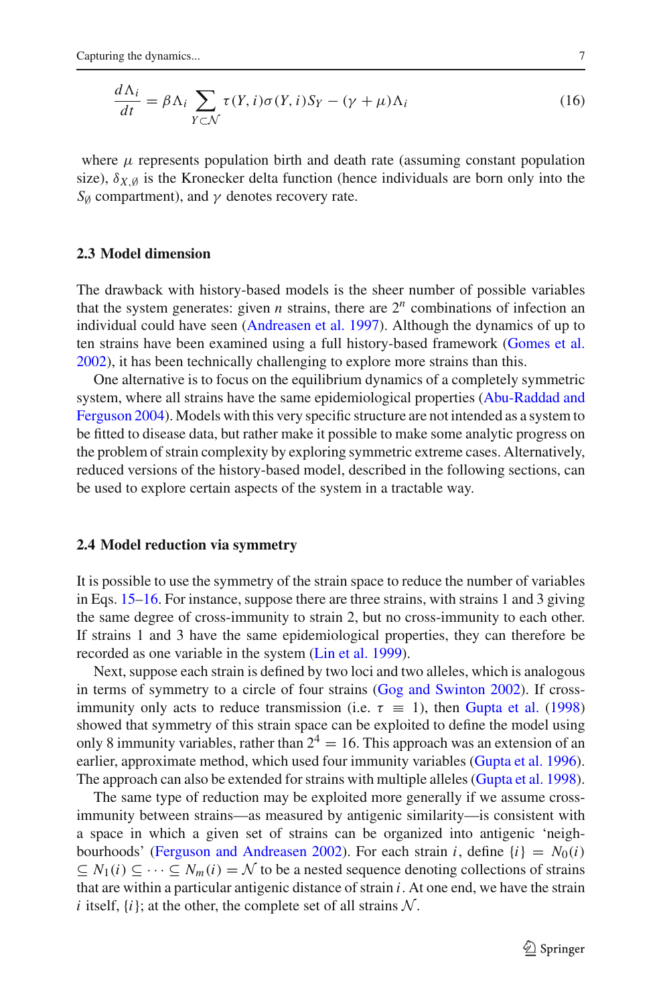<span id="page-7-0"></span>
$$
\frac{d\Lambda_i}{dt} = \beta \Lambda_i \sum_{Y \subset \mathcal{N}} \tau(Y, i)\sigma(Y, i)S_Y - (\gamma + \mu)\Lambda_i
$$
\n(16)

where  $\mu$  represents population birth and death rate (assuming constant population size),  $\delta_{X}$  *i*s the Kronecker delta function (hence individuals are born only into the  $S_{\emptyset}$  compartment), and  $\gamma$  denotes recovery rate.

#### **2.3 Model dimension**

The drawback with history-based models is the sheer number of possible variables that the system generates: given *n* strains, there are  $2^n$  combinations of infection an individual could have seen [\(Andreasen et al. 1997](#page-21-3)). Although the dynamics of up to ten strains have been examined using a full history-based framework [\(Gomes et al.](#page-22-13) [2002\)](#page-22-13), it has been technically challenging to explore more strains than this.

One alternative is to focus on the equilibrium dynamics of a completely symmetric system, [where](#page-21-5) [all](#page-21-5) [strains](#page-21-5) [have](#page-21-5) [the](#page-21-5) [same](#page-21-5) [epidemiological](#page-21-5) [properties](#page-21-5) [\(](#page-21-5)Abu-Raddad and Ferguson [2004](#page-21-5)). Models with this very specific structure are not intended as a system to be fitted to disease data, but rather make it possible to make some analytic progress on the problem of strain complexity by exploring symmetric extreme cases. Alternatively, reduced versions of the history-based model, described in the following sections, can be used to explore certain aspects of the system in a tractable way.

# **2.4 Model reduction via symmetry**

It is possible to use the symmetry of the strain space to reduce the number of variables in Eqs. [15–](#page-6-1)[16.](#page-7-0) For instance, suppose there are three strains, with strains 1 and 3 giving the same degree of cross-immunity to strain 2, but no cross-immunity to each other. If strains 1 and 3 have the same epidemiological properties, they can therefore be recorded as one variable in the system [\(Lin et al. 1999\)](#page-23-2).

Next, suppose each strain is defined by two loci and two alleles, which is analogous in terms of symmetry to a circle of four strains [\(Gog and Swinton 2002](#page-22-14)). If crossimmunity only acts to reduce transmission (i.e.  $\tau \equiv 1$ ), then [Gupta et al.](#page-23-3) [\(1998\)](#page-23-3) showed that symmetry of this strain space can be exploited to define the model using only 8 immunity variables, rather than  $2^4 = 16$ . This approach was an extension of an earlier, approximate method, which used four immunity variables [\(Gupta et al. 1996](#page-22-7)). The approach can also be extended for strains with multiple alleles [\(Gupta et al. 1998](#page-23-3)).

The same type of reduction may be exploited more generally if we assume crossimmunity between strains—as measured by antigenic similarity—is consistent with a space in which a given set of strains can be organized into antigenic 'neigh-bourhoods' [\(Ferguson and Andreasen 2002\)](#page-22-12). For each strain *i*, define  $\{i\} = N_0(i)$  $\subseteq$  *N*<sub>1</sub>(*i*) ⊆ ··· ⊆ *N<sub>m</sub>*(*i*) = *N* to be a nested sequence denoting collections of strains that are within a particular antigenic distance of strain *i*. At one end, we have the strain *i* itself,  $\{i\}$ ; at the other, the complete set of all strains  $N$ .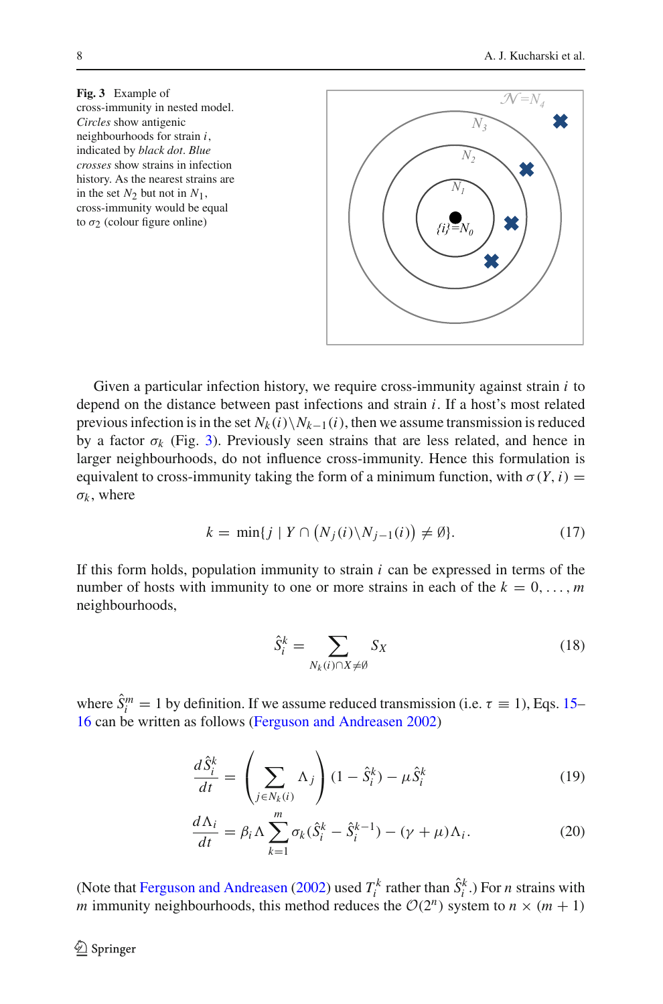<span id="page-8-0"></span>

Given a particular infection history, we require cross-immunity against strain *i* to depend on the distance between past infections and strain *i*. If a host's most related previous infection is in the set  $N_k(i)\backslash N_{k-1}(i)$ , then we assume transmission is reduced by a factor  $\sigma_k$  (Fig. [3\)](#page-8-0). Previously seen strains that are less related, and hence in larger neighbourhoods, do not influence cross-immunity. Hence this formulation is equivalent to cross-immunity taking the form of a minimum function, with  $\sigma(Y, i)$  =  $\sigma_k$ , where

$$
k = \min\{j \mid Y \cap \left(N_j(i)\backslash N_{j-1}(i)\right) \neq \emptyset\}.
$$
 (17)

If this form holds, population immunity to strain *i* can be expressed in terms of the number of hosts with immunity to one or more strains in each of the  $k = 0, \ldots, m$ neighbourhoods,

<span id="page-8-3"></span><span id="page-8-2"></span><span id="page-8-1"></span>
$$
\hat{S}_i^k = \sum_{N_k(i) \cap X \neq \emptyset} S_X \tag{18}
$$

where  $\hat{S}^m_i = 1$  by definition. If we assume reduced transmission (i.e.  $\tau \equiv 1$ ), Eqs. [15–](#page-6-1) [16](#page-7-0) can be written as follows [\(Ferguson and Andreasen 2002\)](#page-22-12)

$$
\frac{d\hat{S}_i^k}{dt} = \left(\sum_{j \in N_k(i)} \Lambda_j\right) (1 - \hat{S}_i^k) - \mu \hat{S}_i^k \tag{19}
$$

$$
\frac{d\Lambda_i}{dt} = \beta_i \Lambda \sum_{k=1}^m \sigma_k (\hat{S}_i^k - \hat{S}_i^{k-1}) - (\gamma + \mu) \Lambda_i.
$$
 (20)

(Note that [Ferguson and Andreasen](#page-22-12) [\(2002](#page-22-12)) used  $T_i^k$  rather than  $\hat{S}_i^k$ .) For *n* strains with *m* immunity neighbourhoods, this method reduces the  $O(2^n)$  system to  $n \times (m + 1)$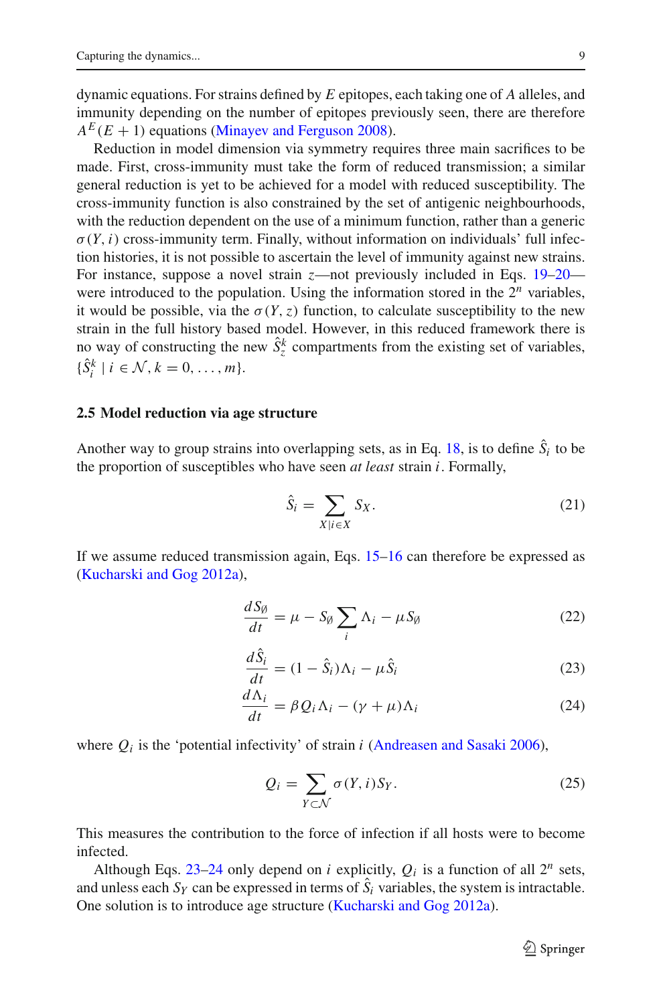dynamic equations. For strains defined by *E* epitopes, each taking one of *A* alleles, and immunity depending on the number of epitopes previously seen, there are therefore  $A<sup>E</sup>(E + 1)$  equations [\(Minayev and Ferguson 2008\)](#page-23-4).

Reduction in model dimension via symmetry requires three main sacrifices to be made. First, cross-immunity must take the form of reduced transmission; a similar general reduction is yet to be achieved for a model with reduced susceptibility. The cross-immunity function is also constrained by the set of antigenic neighbourhoods, with the reduction dependent on the use of a minimum function, rather than a generic  $\sigma(Y, i)$  cross-immunity term. Finally, without information on individuals' full infection histories, it is not possible to ascertain the level of immunity against new strains. For instance, suppose a novel strain *z*—not previously included in Eqs. [19](#page-8-1)[–20](#page-8-2) were introduced to the population. Using the information stored in the  $2^n$  variables, it would be possible, via the  $\sigma(Y, z)$  function, to calculate susceptibility to the new strain in the full history based model. However, in this reduced framework there is no way of constructing the new  $\hat{S}_z^k$  compartments from the existing set of variables,  $\{\hat{S}_i^k \mid i \in \mathcal{N}, k = 0, \ldots, m\}.$ 

### **2.5 Model reduction via age structure**

Another way to group strains into overlapping sets, as in Eq.  $18$ , is to define  $S_i$  to be the proportion of susceptibles who have seen *at least* strain *i*. Formally,

$$
\hat{S}_i = \sum_{X \mid i \in X} S_X. \tag{21}
$$

If we assume reduced transmission again, Eqs. [15–](#page-6-1)[16](#page-7-0) can therefore be expressed as [\(Kucharski and Gog 2012a](#page-23-5)),

$$
\frac{dS_{\emptyset}}{dt} = \mu - S_{\emptyset} \sum_{i} \Lambda_{i} - \mu S_{\emptyset}
$$
 (22)

<span id="page-9-0"></span>
$$
\frac{d\hat{S}_i}{dt} = (1 - \hat{S}_i)\Lambda_i - \mu \hat{S}_i
$$
\n(23)

$$
\frac{d\Lambda_i}{dt} = \beta Q_i \Lambda_i - (\gamma + \mu) \Lambda_i \tag{24}
$$

where  $Q_i$  is the 'potential infectivity' of strain *i* [\(Andreasen and Sasaki 2006](#page-21-6)),

<span id="page-9-1"></span>
$$
Q_i = \sum_{Y \subset \mathcal{N}} \sigma(Y, i) S_Y. \tag{25}
$$

This measures the contribution to the force of infection if all hosts were to become infected.

Although Eqs. [23](#page-9-0)[–24](#page-9-1) only depend on *i* explicitly,  $Q_i$  is a function of all  $2^n$  sets, and unless each  $S_Y$  can be expressed in terms of  $S_i$  variables, the system is intractable. One solution is to introduce age structure [\(Kucharski and Gog 2012a](#page-23-5)).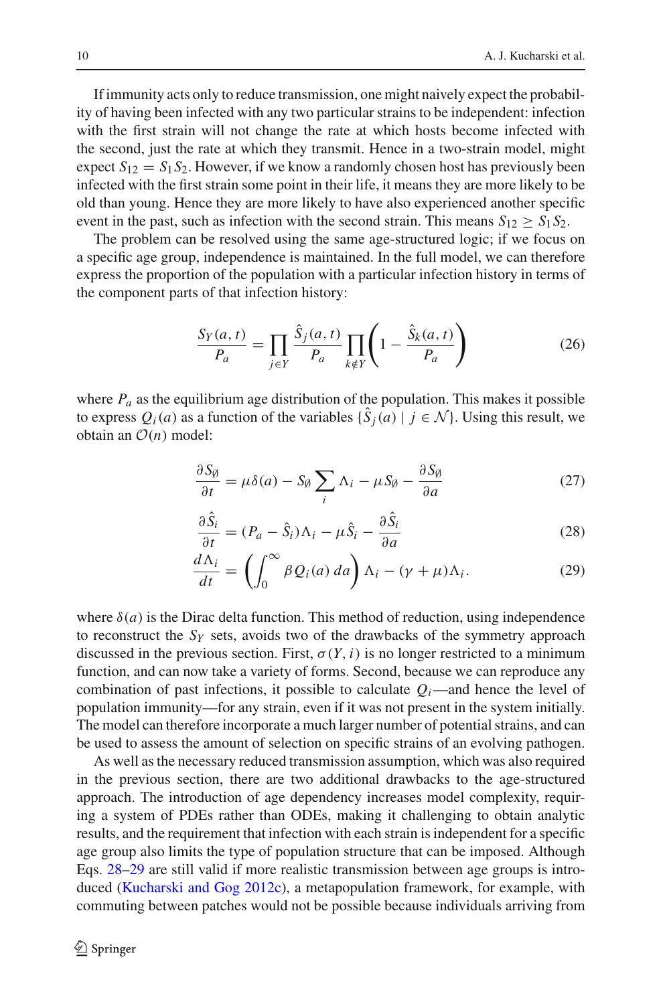If immunity acts only to reduce transmission, one might naively expect the probability of having been infected with any two particular strains to be independent: infection with the first strain will not change the rate at which hosts become infected with the second, just the rate at which they transmit. Hence in a two-strain model, might expect  $S_{12} = S_1 S_2$ . However, if we know a randomly chosen host has previously been infected with the first strain some point in their life, it means they are more likely to be old than young. Hence they are more likely to have also experienced another specific event in the past, such as infection with the second strain. This means  $S_{12} \geq S_1 S_2$ .

The problem can be resolved using the same age-structured logic; if we focus on a specific age group, independence is maintained. In the full model, we can therefore express the proportion of the population with a particular infection history in terms of the component parts of that infection history:

$$
\frac{S_Y(a,t)}{P_a} = \prod_{j \in Y} \frac{\hat{S}_j(a,t)}{P_a} \prod_{k \notin Y} \left(1 - \frac{\hat{S}_k(a,t)}{P_a}\right)
$$
(26)

where  $P_a$  as the equilibrium age distribution of the population. This makes it possible to express  $Q_i(a)$  as a function of the variables  $\{\hat{S}_i(a) \mid j \in \mathcal{N}\}\)$ . Using this result, we obtain an  $\mathcal{O}(n)$  model:

$$
\frac{\partial S_{\emptyset}}{\partial t} = \mu \delta(a) - S_{\emptyset} \sum_{i} \Lambda_{i} - \mu S_{\emptyset} - \frac{\partial S_{\emptyset}}{\partial a}
$$
(27)

<span id="page-10-0"></span>
$$
\frac{\partial \hat{S}_i}{\partial t} = (P_a - \hat{S}_i) \Lambda_i - \mu \hat{S}_i - \frac{\partial \hat{S}_i}{\partial a} \tag{28}
$$

<span id="page-10-1"></span>
$$
\frac{d\Lambda_i}{dt} = \left(\int_0^\infty \beta Q_i(a) \, da\right) \Lambda_i - (\gamma + \mu) \Lambda_i. \tag{29}
$$

where  $\delta(a)$  is the Dirac delta function. This method of reduction, using independence to reconstruct the *SY* sets, avoids two of the drawbacks of the symmetry approach discussed in the previous section. First,  $\sigma(Y, i)$  is no longer restricted to a minimum function, and can now take a variety of forms. Second, because we can reproduce any combination of past infections, it possible to calculate  $Q_i$ —and hence the level of population immunity—for any strain, even if it was not present in the system initially. The model can therefore incorporate a much larger number of potential strains, and can be used to assess the amount of selection on specific strains of an evolving pathogen.

As well as the necessary reduced transmission assumption, which was also required in the previous section, there are two additional drawbacks to the age-structured approach. The introduction of age dependency increases model complexity, requiring a system of PDEs rather than ODEs, making it challenging to obtain analytic results, and the requirement that infection with each strain is independent for a specific age group also limits the type of population structure that can be imposed. Although Eqs. [28–](#page-10-0)[29](#page-10-1) are still valid if more realistic transmission between age groups is introduced [\(Kucharski and Gog 2012c\)](#page-23-6), a metapopulation framework, for example, with commuting between patches would not be possible because individuals arriving from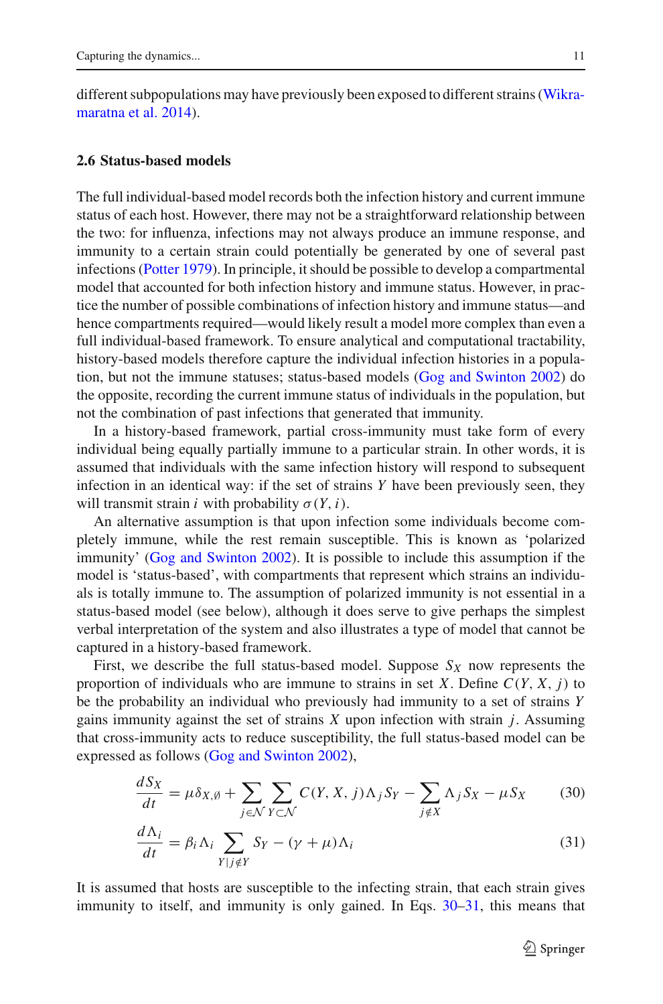different sub[populations](#page-24-7) [may](#page-24-7) [have](#page-24-7) [previously](#page-24-7) [been](#page-24-7) [exposed](#page-24-7) [to](#page-24-7) [different](#page-24-7) [strains](#page-24-7) [\(](#page-24-7)Wikramaratna et al. [2014](#page-24-7)).

#### **2.6 Status-based models**

<span id="page-11-0"></span> $\overline{a}$ 

The full individual-based model records both the infection history and current immune status of each host. However, there may not be a straightforward relationship between the two: for influenza, infections may not always produce an immune response, and immunity to a certain strain could potentially be generated by one of several past infections [\(Potter 1979\)](#page-24-3). In principle, it should be possible to develop a compartmental model that accounted for both infection history and immune status. However, in practice the number of possible combinations of infection history and immune status—and hence compartments required—would likely result a model more complex than even a full individual-based framework. To ensure analytical and computational tractability, history-based models therefore capture the individual infection histories in a population, but not the immune statuses; status-based models [\(Gog and Swinton 2002\)](#page-22-14) do the opposite, recording the current immune status of individuals in the population, but not the combination of past infections that generated that immunity.

In a history-based framework, partial cross-immunity must take form of every individual being equally partially immune to a particular strain. In other words, it is assumed that individuals with the same infection history will respond to subsequent infection in an identical way: if the set of strains *Y* have been previously seen, they will transmit strain *i* with probability  $\sigma(Y, i)$ .

An alternative assumption is that upon infection some individuals become completely immune, while the rest remain susceptible. This is known as 'polarized immunity' [\(Gog and Swinton 2002](#page-22-14)). It is possible to include this assumption if the model is 'status-based', with compartments that represent which strains an individuals is totally immune to. The assumption of polarized immunity is not essential in a status-based model (see below), although it does serve to give perhaps the simplest verbal interpretation of the system and also illustrates a type of model that cannot be captured in a history-based framework.

First, we describe the full status-based model. Suppose  $S_X$  now represents the proportion of individuals who are immune to strains in set *X*. Define  $C(Y, X, j)$  to be the probability an individual who previously had immunity to a set of strains *Y* gains immunity against the set of strains *X* upon infection with strain *j*. Assuming that cross-immunity acts to reduce susceptibility, the full status-based model can be expressed as follows [\(Gog and Swinton 2002\)](#page-22-14),

$$
\frac{dS_X}{dt} = \mu \delta_{X,\emptyset} + \sum_{j \in \mathcal{N}} \sum_{Y \subset \mathcal{N}} C(Y, X, j) \Lambda_j S_Y - \sum_{j \notin X} \Lambda_j S_X - \mu S_X \tag{30}
$$

<span id="page-11-1"></span>
$$
\frac{d\Lambda_i}{dt} = \beta_i \Lambda_i \sum_{Y|j \notin Y} S_Y - (\gamma + \mu) \Lambda_i \tag{31}
$$

It is assumed that hosts are susceptible to the infecting strain, that each strain gives immunity to itself, and immunity is only gained. In Eqs. [30](#page-11-0)[–31,](#page-11-1) this means that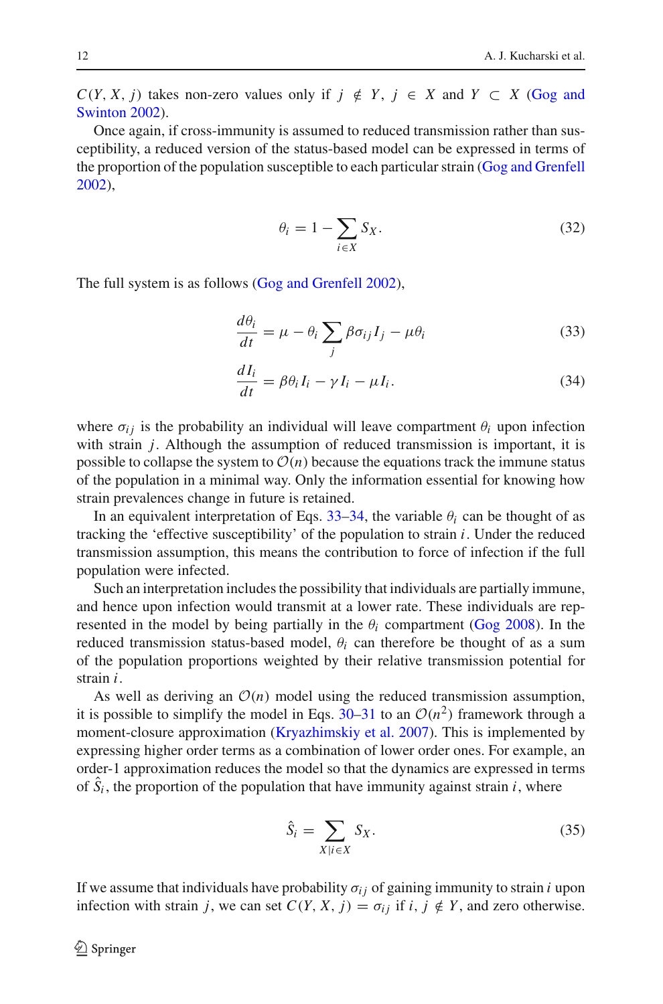$C(Y, X, j)$  [takes](#page-22-14) [non-zero](#page-22-14) [values](#page-22-14) [only](#page-22-14) [if](#page-22-14)  $j \notin Y$ ,  $j \in X$  and  $Y \subset X$  (Gog and Swinton [2002](#page-22-14)).

Once again, if cross-immunity is assumed to reduced transmission rather than susceptibility, a reduced version of the status-based model can be expressed in terms of the proportion of the population susceptible to each particular strain [\(Gog and Grenfell](#page-22-15) [2002\)](#page-22-15),

<span id="page-12-0"></span>
$$
\theta_i = 1 - \sum_{i \in X} S_X. \tag{32}
$$

The full system is as follows [\(Gog and Grenfell 2002\)](#page-22-15),

$$
\frac{d\theta_i}{dt} = \mu - \theta_i \sum_j \beta \sigma_{ij} I_j - \mu \theta_i \tag{33}
$$

<span id="page-12-1"></span>
$$
\frac{dI_i}{dt} = \beta \theta_i I_i - \gamma I_i - \mu I_i.
$$
\n(34)

where  $\sigma_{ij}$  is the probability an individual will leave compartment  $\theta_i$  upon infection with strain *j*. Although the assumption of reduced transmission is important, it is possible to collapse the system to  $\mathcal{O}(n)$  because the equations track the immune status of the population in a minimal way. Only the information essential for knowing how strain prevalences change in future is retained.

In an equivalent interpretation of Eqs.  $33-34$ , the variable  $\theta_i$  can be thought of as tracking the 'effective susceptibility' of the population to strain *i*. Under the reduced transmission assumption, this means the contribution to force of infection if the full population were infected.

Such an interpretation includes the possibility that individuals are partially immune, and hence upon infection would transmit at a lower rate. These individuals are represented in the model by being partially in the  $\theta_i$  compartment [\(Gog 2008](#page-22-16)). In the reduced transmission status-based model,  $\theta_i$  can therefore be thought of as a sum of the population proportions weighted by their relative transmission potential for strain *i*.

As well as deriving an  $O(n)$  model using the reduced transmission assumption, it is possible to simplify the model in Eqs. [30–](#page-11-0)[31](#page-11-1) to an  $O(n^2)$  framework through a moment-closure approximation [\(Kryazhimskiy et al. 2007](#page-23-7)). This is implemented by expressing higher order terms as a combination of lower order ones. For example, an order-1 approximation reduces the model so that the dynamics are expressed in terms of  $S_i$ , the proportion of the population that have immunity against strain  $i$ , where

<span id="page-12-2"></span>
$$
\hat{S}_i = \sum_{X \mid i \in X} S_X. \tag{35}
$$

If we assume that individuals have probability  $\sigma_{ij}$  of gaining immunity to strain *i* upon infection with strain *j*, we can set  $C(Y, X, j) = \sigma_{ij}$  if  $i, j \notin Y$ , and zero otherwise.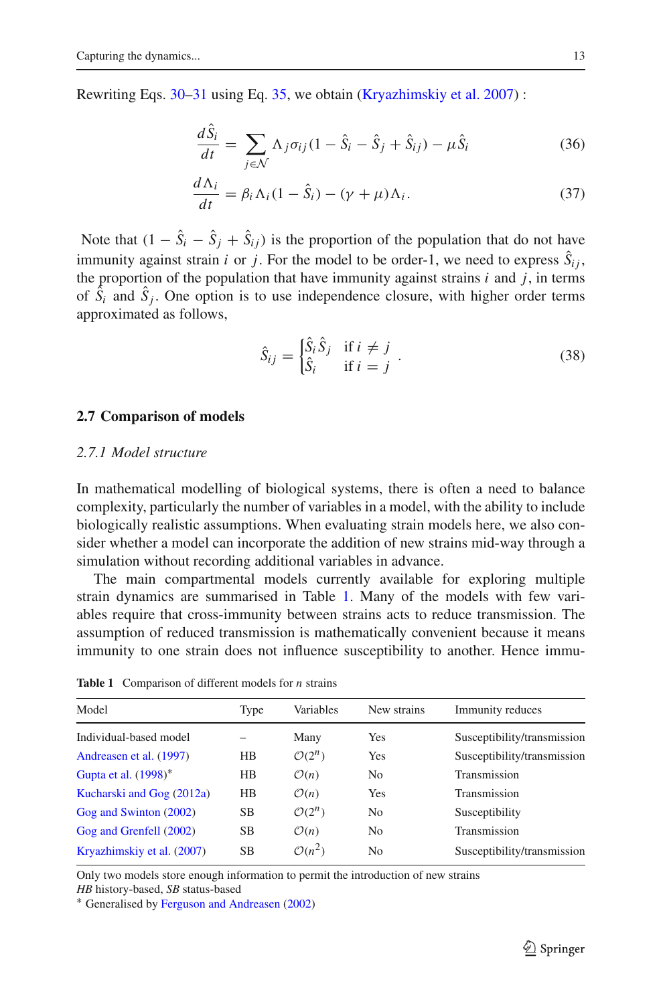Rewriting Eqs. [30–](#page-11-0)[31](#page-11-1) using Eq. [35,](#page-12-2) we obtain [\(Kryazhimskiy et al. 2007\)](#page-23-7):

$$
\frac{dS_i}{dt} = \sum_{j \in \mathcal{N}} \Lambda_j \sigma_{ij} (1 - \hat{S}_i - \hat{S}_j + \hat{S}_{ij}) - \mu \hat{S}_i
$$
(36)

$$
\frac{d\Lambda_i}{dt} = \beta_i \Lambda_i (1 - \hat{S}_i) - (\gamma + \mu) \Lambda_i.
$$
 (37)

Note that  $(1 - S_i - S_j + S_{ij})$  is the proportion of the population that do not have immunity against strain *i* or *j*. For the model to be order-1, we need to express  $S_{ij}$ , the proportion of the population that have immunity against strains  $i$  and  $j$ , in terms of  $S_i$  and  $S_j$ . One option is to use independence closure, with higher order terms approximated as follows,

$$
\hat{S}_{ij} = \begin{cases} \hat{S}_i \hat{S}_j & \text{if } i \neq j \\ \hat{S}_i & \text{if } i = j \end{cases} . \tag{38}
$$

#### **2.7 Comparison of models**

# *2.7.1 Model structure*

In mathematical modelling of biological systems, there is often a need to balance complexity, particularly the number of variables in a model, with the ability to include biologically realistic assumptions. When evaluating strain models here, we also consider whether a model can incorporate the addition of new strains mid-way through a simulation without recording additional variables in advance.

The main compartmental models currently available for exploring multiple strain dynamics are summarised in Table [1.](#page-13-0) Many of the models with few variables require that cross-immunity between strains acts to reduce transmission. The assumption of reduced transmission is mathematically convenient because it means immunity to one strain does not influence susceptibility to another. Hence immu-

<span id="page-13-0"></span>

| Model                      | Type      | Variables          | New strains    | Immunity reduces            |
|----------------------------|-----------|--------------------|----------------|-----------------------------|
| Individual-based model     |           | Many               | Yes            | Susceptibility/transmission |
| Andreasen et al. (1997)    | HB.       | $\mathcal{O}(2^n)$ | Yes            | Susceptibility/transmission |
| Gupta et al. (1998)*       | HВ        | $\mathcal{O}(n)$   | N <sub>0</sub> | Transmission                |
| Kucharski and Gog (2012a)  | HB.       | $\mathcal{O}(n)$   | Yes            | Transmission                |
| Gog and Swinton (2002)     | <b>SB</b> | $\mathcal{O}(2^n)$ | No             | Susceptibility              |
| Gog and Grenfell (2002)    | <b>SB</b> | $\mathcal{O}(n)$   | No             | Transmission                |
| Kryazhimskiy et al. (2007) | <b>SB</b> | $O(n^2)$           | N <sub>0</sub> | Susceptibility/transmission |
|                            |           |                    |                |                             |

**Table 1** Comparison of different models for *n* strains

Only two models store enough information to permit the introduction of new strains

*HB* history-based, *SB* status-based

∗ Generalised by [Ferguson and Andreasen](#page-22-12) [\(2002](#page-22-12))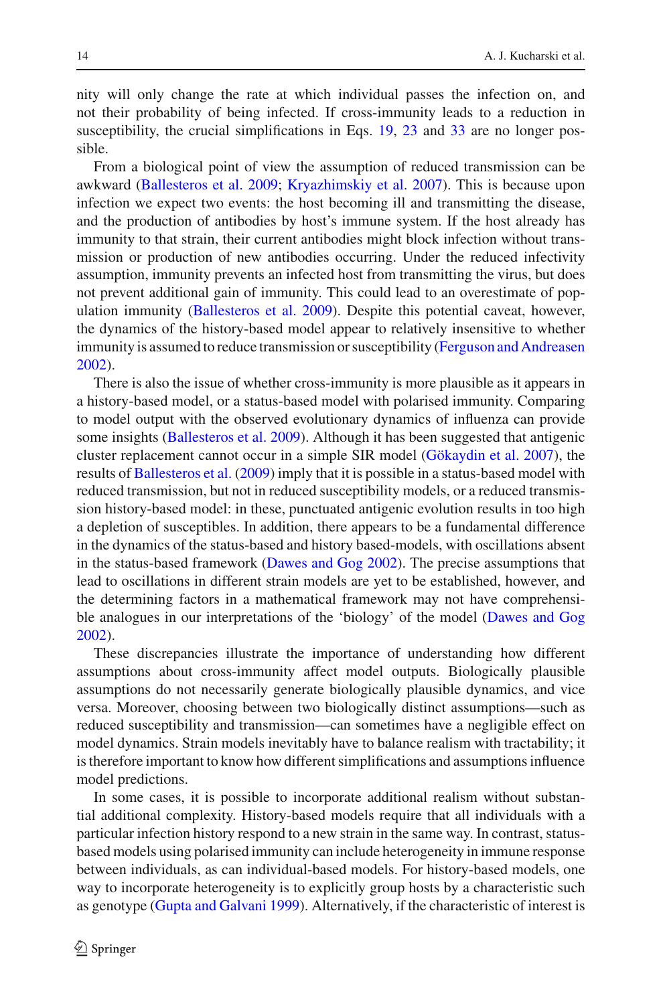nity will only change the rate at which individual passes the infection on, and not their probability of being infected. If cross-immunity leads to a reduction in susceptibility, the crucial simplifications in Eqs. [19,](#page-8-1) [23](#page-9-0) and [33](#page-12-0) are no longer possible.

From a biological point of view the assumption of reduced transmission can be awkward [\(Ballesteros et al. 2009](#page-21-7); [Kryazhimskiy et al. 2007](#page-23-7)). This is because upon infection we expect two events: the host becoming ill and transmitting the disease, and the production of antibodies by host's immune system. If the host already has immunity to that strain, their current antibodies might block infection without transmission or production of new antibodies occurring. Under the reduced infectivity assumption, immunity prevents an infected host from transmitting the virus, but does not prevent additional gain of immunity. This could lead to an overestimate of population immunity [\(Ballesteros et al. 2009](#page-21-7)). Despite this potential caveat, however, the dynamics of the history-based model appear to relatively insensitive to whether immunity is assumed to reduce transmission or susceptibility [\(Ferguson and Andreasen](#page-22-12) [2002\)](#page-22-12).

There is also the issue of whether cross-immunity is more plausible as it appears in a history-based model, or a status-based model with polarised immunity. Comparing to model output with the observed evolutionary dynamics of influenza can provide some insights [\(Ballesteros et al. 2009](#page-21-7)). Although it has been suggested that antigenic cluster replacement cannot occur in a simple SIR model [\(Gökaydin et al. 2007](#page-22-17)), the results of [Ballesteros et al.](#page-21-7) [\(2009](#page-21-7)) imply that it is possible in a status-based model with reduced transmission, but not in reduced susceptibility models, or a reduced transmission history-based model: in these, punctuated antigenic evolution results in too high a depletion of susceptibles. In addition, there appears to be a fundamental difference in the dynamics of the status-based and history based-models, with oscillations absent in the status-based framework [\(Dawes and Gog 2002](#page-22-18)). The precise assumptions that lead to oscillations in different strain models are yet to be established, however, and the determining factors in a mathematical framework may not have comprehensible analogues in our interpretations of the 'biology' of the model [\(Dawes and Gog](#page-22-18) [2002\)](#page-22-18).

These discrepancies illustrate the importance of understanding how different assumptions about cross-immunity affect model outputs. Biologically plausible assumptions do not necessarily generate biologically plausible dynamics, and vice versa. Moreover, choosing between two biologically distinct assumptions—such as reduced susceptibility and transmission—can sometimes have a negligible effect on model dynamics. Strain models inevitably have to balance realism with tractability; it is therefore important to know how different simplifications and assumptions influence model predictions.

In some cases, it is possible to incorporate additional realism without substantial additional complexity. History-based models require that all individuals with a particular infection history respond to a new strain in the same way. In contrast, statusbased models using polarised immunity can include heterogeneity in immune response between individuals, as can individual-based models. For history-based models, one way to incorporate heterogeneity is to explicitly group hosts by a characteristic such as genotype [\(Gupta and Galvani 1999\)](#page-22-19). Alternatively, if the characteristic of interest is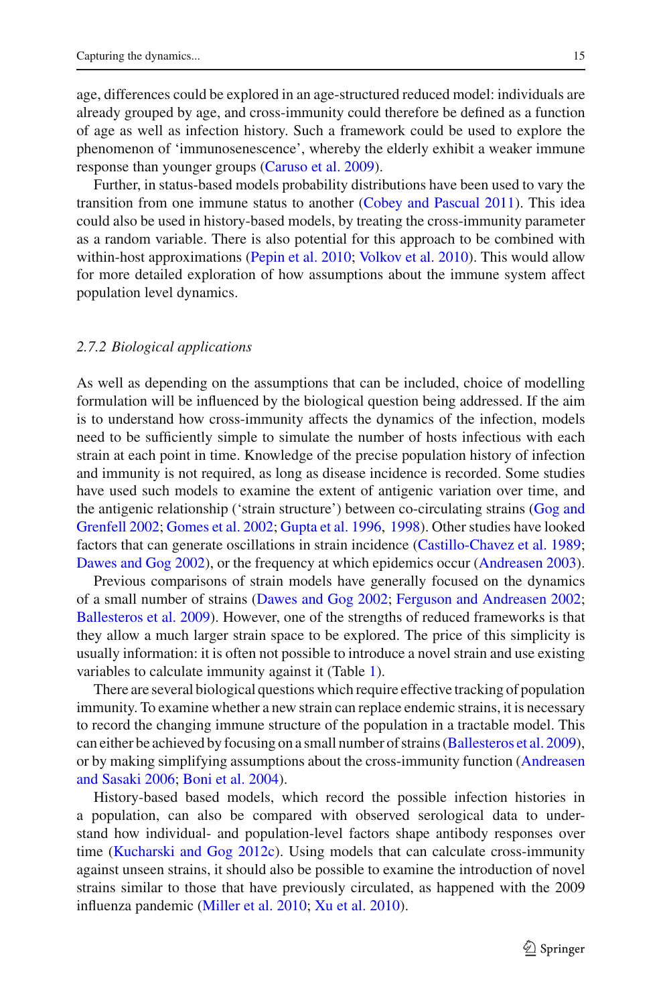age, differences could be explored in an age-structured reduced model: individuals are already grouped by age, and cross-immunity could therefore be defined as a function of age as well as infection history. Such a framework could be used to explore the phenomenon of 'immunosenescence', whereby the elderly exhibit a weaker immune response than younger groups [\(Caruso et al. 2009](#page-21-8)).

Further, in status-based models probability distributions have been used to vary the transition from one immune status to another [\(Cobey and Pascual 2011](#page-22-20)). This idea could also be used in history-based models, by treating the cross-immunity parameter as a random variable. There is also potential for this approach to be combined with within-host approximations [\(Pepin et al. 2010;](#page-24-8) [Volkov et al. 2010\)](#page-24-9). This would allow for more detailed exploration of how assumptions about the immune system affect population level dynamics.

# *2.7.2 Biological applications*

As well as depending on the assumptions that can be included, choice of modelling formulation will be influenced by the biological question being addressed. If the aim is to understand how cross-immunity affects the dynamics of the infection, models need to be sufficiently simple to simulate the number of hosts infectious with each strain at each point in time. Knowledge of the precise population history of infection and immunity is not required, as long as disease incidence is recorded. Some studies have used such models to examine the extent of antigenic variation over time, and the anti[genic](#page-22-15) [relationship](#page-22-15) [\('strain](#page-22-15) [structure'\)](#page-22-15) [between](#page-22-15) [co-circulating](#page-22-15) [strains](#page-22-15) [\(](#page-22-15)Gog and Grenfell [2002;](#page-22-15) [Gomes et al. 2002](#page-22-13); [Gupta et al. 1996,](#page-22-7) [1998\)](#page-23-3). Other studies have looked factors that can generate oscillations in strain incidence [\(Castillo-Chavez et al. 1989](#page-22-4); [Dawes and Gog 2002\)](#page-22-18), or the frequency at which epidemics occur [\(Andreasen 2003](#page-21-9)).

Previous comparisons of strain models have generally focused on the dynamics of a small number of strains [\(Dawes and Gog 2002](#page-22-18); [Ferguson and Andreasen 2002](#page-22-12); [Ballesteros et al. 2009](#page-21-7)). However, one of the strengths of reduced frameworks is that they allow a much larger strain space to be explored. The price of this simplicity is usually information: it is often not possible to introduce a novel strain and use existing variables to calculate immunity against it (Table [1\)](#page-13-0).

There are several biological questions which require effective tracking of population immunity. To examine whether a new strain can replace endemic strains, it is necessary to record the changing immune structure of the population in a tractable model. This can either be achieved by focusing on a small number of strains [\(Ballesteros et al. 2009](#page-21-7)), or by maki[ng](#page-21-6) [simplifying](#page-21-6) [assumptions](#page-21-6) [about](#page-21-6) [the](#page-21-6) [cross-immunity](#page-21-6) [function](#page-21-6) [\(](#page-21-6)Andreasen and Sasaki [2006](#page-21-6); [Boni et al. 2004\)](#page-21-10).

History-based based models, which record the possible infection histories in a population, can also be compared with observed serological data to understand how individual- and population-level factors shape antibody responses over time [\(Kucharski and Gog 2012c](#page-23-6)). Using models that can calculate cross-immunity against unseen strains, it should also be possible to examine the introduction of novel strains similar to those that have previously circulated, as happened with the 2009 influenza pandemic [\(Miller et al. 2010](#page-23-8); [Xu et al. 2010](#page-24-10)).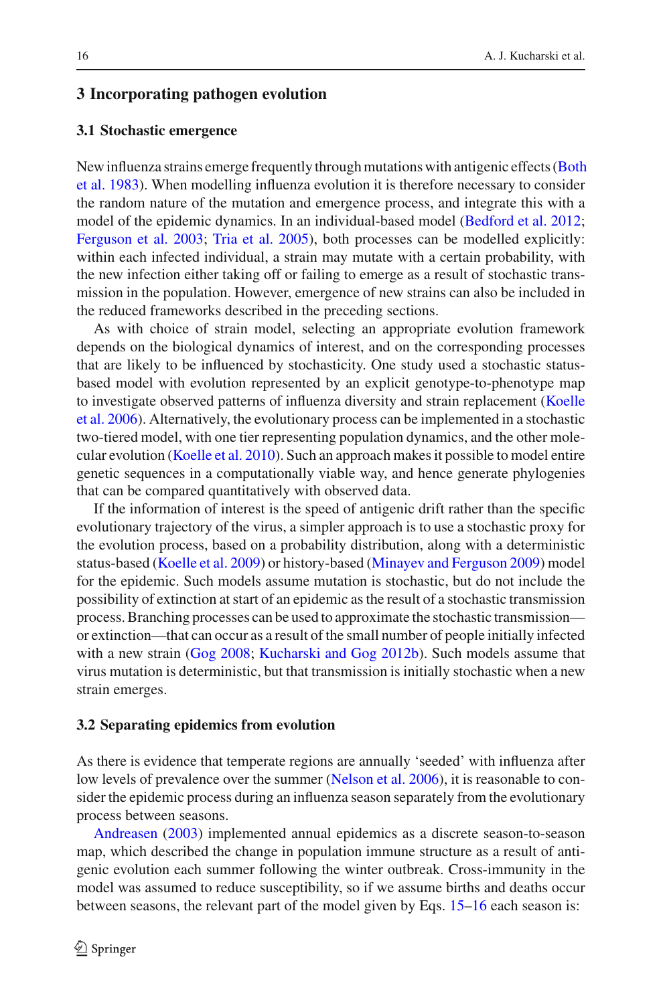# **3 Incorporating pathogen evolution**

## **3.1 Stochastic emergence**

New [influenza](#page-21-11) [strains](#page-21-11) [emerge](#page-21-11) [frequently](#page-21-11) [through](#page-21-11) [mutations](#page-21-11) [with](#page-21-11) [antigenic](#page-21-11) [effects](#page-21-11) [\(](#page-21-11)Both et al. [1983](#page-21-11)). When modelling influenza evolution it is therefore necessary to consider the random nature of the mutation and emergence process, and integrate this with a model of the epidemic dynamics. In an individual-based model [\(Bedford et al. 2012](#page-21-2); [Ferguson et al. 2003;](#page-22-9) [Tria et al. 2005\)](#page-24-5), both processes can be modelled explicitly: within each infected individual, a strain may mutate with a certain probability, with the new infection either taking off or failing to emerge as a result of stochastic transmission in the population. However, emergence of new strains can also be included in the reduced frameworks described in the preceding sections.

As with choice of strain model, selecting an appropriate evolution framework depends on the biological dynamics of interest, and on the corresponding processes that are likely to be influenced by stochasticity. One study used a stochastic statusbased model with evolution represented by an explicit genotype-to-phenotype map to in[vestigate](#page-23-9) [observed](#page-23-9) [patterns](#page-23-9) [of](#page-23-9) [influenza](#page-23-9) [diversity](#page-23-9) [and](#page-23-9) [strain](#page-23-9) [replacement](#page-23-9) [\(](#page-23-9)Koelle et al. [2006](#page-23-9)). Alternatively, the evolutionary process can be implemented in a stochastic two-tiered model, with one tier representing population dynamics, and the other molecular evolution [\(Koelle et al. 2010](#page-23-10)). Such an approach makes it possible to model entire genetic sequences in a computationally viable way, and hence generate phylogenies that can be compared quantitatively with observed data.

If the information of interest is the speed of antigenic drift rather than the specific evolutionary trajectory of the virus, a simpler approach is to use a stochastic proxy for the evolution process, based on a probability distribution, along with a deterministic status-based [\(Koelle et al. 2009\)](#page-23-11) or history-based [\(Minayev and Ferguson 2009](#page-23-12)) model for the epidemic. Such models assume mutation is stochastic, but do not include the possibility of extinction at start of an epidemic as the result of a stochastic transmission process. Branching processes can be used to approximate the stochastic transmission or extinction—that can occur as a result of the small number of people initially infected with a new strain [\(Gog 2008](#page-22-16); [Kucharski and Gog 2012b\)](#page-23-13). Such models assume that virus mutation is deterministic, but that transmission is initially stochastic when a new strain emerges.

## **3.2 Separating epidemics from evolution**

As there is evidence that temperate regions are annually 'seeded' with influenza after low levels of prevalence over the summer [\(Nelson et al. 2006](#page-23-14)), it is reasonable to consider the epidemic process during an influenza season separately from the evolutionary [process](#page-21-9) [betwe](#page-21-9)en seasons.

Andreasen [\(2003](#page-21-9)) implemented annual epidemics as a discrete season-to-season map, which described the change in population immune structure as a result of antigenic evolution each summer following the winter outbreak. Cross-immunity in the model was assumed to reduce susceptibility, so if we assume births and deaths occur between seasons, the relevant part of the model given by Eqs. [15–](#page-6-1)[16](#page-7-0) each season is: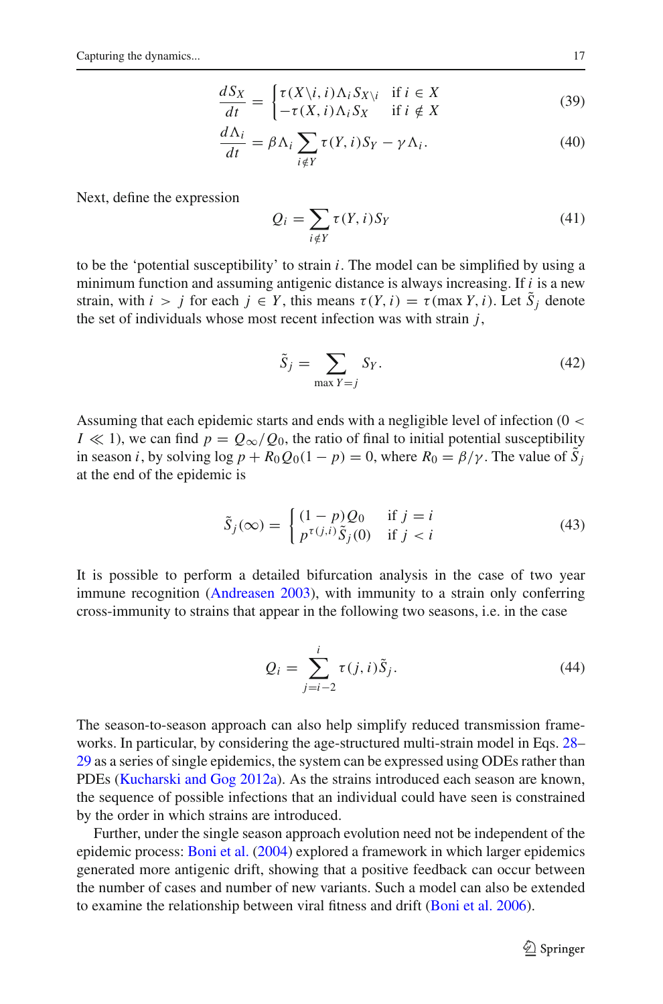$$
\frac{dS_X}{dt} = \begin{cases} \tau(X \setminus i, i) \Lambda_i S_{X \setminus i} & \text{if } i \in X \\ -\tau(X, i) \Lambda_i S_X & \text{if } i \notin X \end{cases}
$$
(39)

$$
\frac{d\Lambda_i}{dt} = \beta \Lambda_i \sum_{i \notin Y} \tau(Y, i) S_Y - \gamma \Lambda_i.
$$
 (40)

Next, define the expression

$$
Q_i = \sum_{i \notin Y} \tau(Y, i) S_Y \tag{41}
$$

to be the 'potential susceptibility' to strain *i*. The model can be simplified by using a minimum function and assuming antigenic distance is always increasing. If *i* is a new strain, with  $i > j$  for each  $j \in Y$ , this means  $\tau(Y, i) = \tau(\max Y, i)$ . Let  $S_j$  denote the set of individuals whose most recent infection was with strain *j*,

$$
\tilde{S}_j = \sum_{\max Y = j} S_Y. \tag{42}
$$

Assuming that each epidemic starts and ends with a negligible level of infection (0 <  $I \ll 1$ , we can find  $p = Q_{\infty}/Q_0$ , the ratio of final to initial potential susceptibility in season *i*, by solving  $\log p + R_0 Q_0(1 - p) = 0$ , where  $R_0 = \beta/\gamma$ . The value of  $\tilde{S}_i$ at the end of the epidemic is

$$
\tilde{S}_j(\infty) = \begin{cases}\n(1-p)Q_0 & \text{if } j = i \\
p^{\tau(j,i)}\tilde{S}_j(0) & \text{if } j < i\n\end{cases}
$$
\n(43)

It is possible to perform a detailed bifurcation analysis in the case of two year immune recognition [\(Andreasen 2003\)](#page-21-9), with immunity to a strain only conferring cross-immunity to strains that appear in the following two seasons, i.e. in the case

$$
Q_i = \sum_{j=i-2}^{i} \tau(j, i)\tilde{S}_j.
$$
 (44)

The season-to-season approach can also help simplify reduced transmission frameworks. In particular, by considering the age-structured multi-strain model in Eqs. [28–](#page-10-0) [29](#page-10-1) as a series of single epidemics, the system can be expressed using ODEs rather than PDEs [\(Kucharski and Gog 2012a\)](#page-23-5). As the strains introduced each season are known, the sequence of possible infections that an individual could have seen is constrained by the order in which strains are introduced.

Further, under the single season approach evolution need not be independent of the epidemic process: [Boni et al.](#page-21-10) [\(2004\)](#page-21-10) explored a framework in which larger epidemics generated more antigenic drift, showing that a positive feedback can occur between the number of cases and number of new variants. Such a model can also be extended to examine the relationship between viral fitness and drift [\(Boni et al. 2006](#page-21-12)).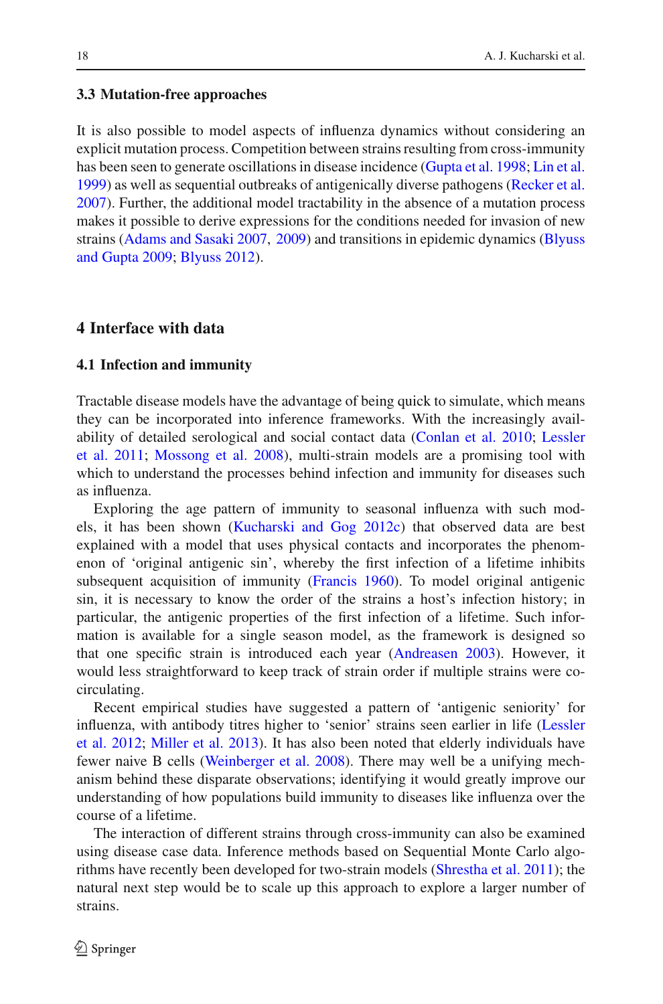#### **3.3 Mutation-free approaches**

It is also possible to model aspects of influenza dynamics without considering an explicit mutation process. Competition between strains resulting from cross-immunity has been seen to generate oscillations in disease incidence [\(Gupta et al. 1998;](#page-23-3) [Lin et al.](#page-23-2) [1999\)](#page-23-2) as well as sequential outbreaks of antigenically diverse pathogens [\(Recker et al.](#page-24-11) [2007\)](#page-24-11). Further, the additional model tractability in the absence of a mutation process makes it possible to derive expressions for the conditions needed for invasion of new strains [\(Adams and Sasaki 2007](#page-21-13), [2009](#page-21-14)[\)](#page-21-15) [and](#page-21-15) [transitions](#page-21-15) [in](#page-21-15) [epidemic](#page-21-15) [dynamics](#page-21-15) [\(](#page-21-15)Blyuss and Gupta [2009](#page-21-15); [Blyuss 2012](#page-21-16)).

# **4 Interface with data**

# **4.1 Infection and immunity**

Tractable disease models have the advantage of being quick to simulate, which means they can be incorporated into inference frameworks. With the increasingly availabilit[y](#page-23-15) [of](#page-23-15) [detailed](#page-23-15) [serological](#page-23-15) [and](#page-23-15) [social](#page-23-15) [contact](#page-23-15) [data](#page-23-15) [\(Conlan et al. 2010](#page-22-21)[;](#page-23-15) Lessler et al. [2011;](#page-23-15) [Mossong et al. 2008](#page-23-16)), multi-strain models are a promising tool with which to understand the processes behind infection and immunity for diseases such as influenza.

Exploring the age pattern of immunity to seasonal influenza with such models, it has been shown [\(Kucharski and Gog 2012c\)](#page-23-6) that observed data are best explained with a model that uses physical contacts and incorporates the phenomenon of 'original antigenic sin', whereby the first infection of a lifetime inhibits subsequent acquisition of immunity [\(Francis 1960](#page-22-8)). To model original antigenic sin, it is necessary to know the order of the strains a host's infection history; in particular, the antigenic properties of the first infection of a lifetime. Such information is available for a single season model, as the framework is designed so that one specific strain is introduced each year [\(Andreasen 2003\)](#page-21-9). However, it would less straightforward to keep track of strain order if multiple strains were cocirculating.

Recent empirical studies have suggested a pattern of 'antigenic seniority' for influ[enza,](#page-23-17) [with](#page-23-17) [antibody](#page-23-17) [titres](#page-23-17) [higher](#page-23-17) [to](#page-23-17) ['senior'](#page-23-17) [strains](#page-23-17) [seen](#page-23-17) [earlier](#page-23-17) [in](#page-23-17) [life](#page-23-17) [\(](#page-23-17)Lessler et al. [2012](#page-23-17); [Miller et al. 2013\)](#page-23-18). It has also been noted that elderly individuals have fewer naive B cells [\(Weinberger et al. 2008\)](#page-24-12). There may well be a unifying mechanism behind these disparate observations; identifying it would greatly improve our understanding of how populations build immunity to diseases like influenza over the course of a lifetime.

The interaction of different strains through cross-immunity can also be examined using disease case data. Inference methods based on Sequential Monte Carlo algorithms have recently been developed for two-strain models [\(Shrestha et al. 2011](#page-24-13)); the natural next step would be to scale up this approach to explore a larger number of strains.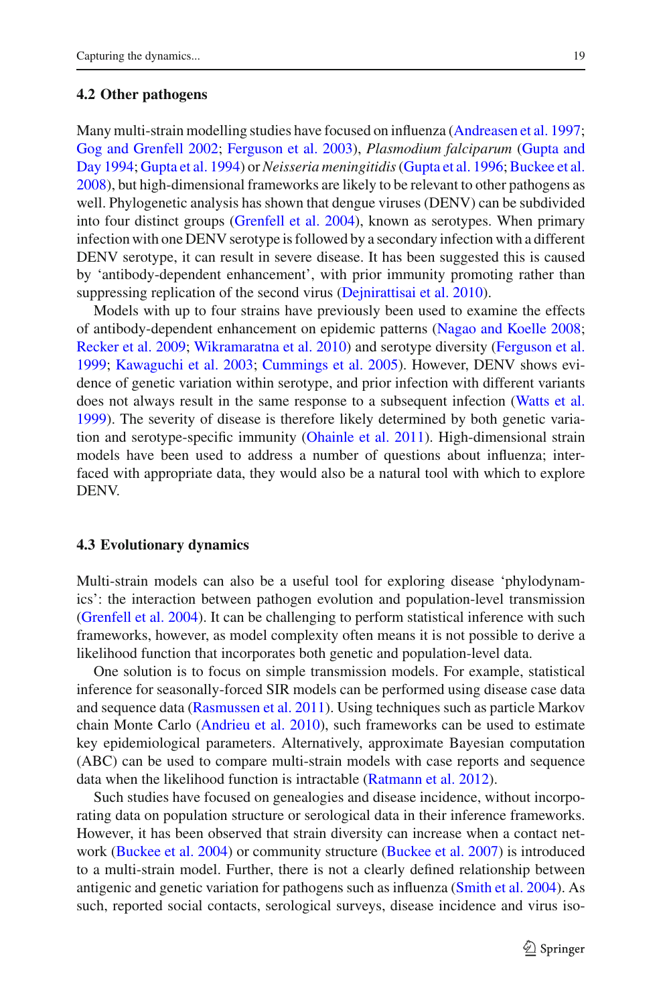#### **4.2 Other pathogens**

Many multi-strain modelling studies have focused on influenza [\(Andreasen et al. 1997](#page-21-3); [Gog and Grenfell 2002;](#page-22-15) [Ferguson et al. 2003\)](#page-22-9), *[Plasmodium](#page-22-5) [falciparum](#page-22-5)* (Gupta and Day [1994;](#page-22-5) [Gupta et al. 1994](#page-22-6)) or *Neisseria meningitidis* [\(Gupta et al. 1996;](#page-22-7) [Buckee et al.](#page-21-1) [2008\)](#page-21-1), but high-dimensional frameworks are likely to be relevant to other pathogens as well. Phylogenetic analysis has shown that dengue viruses (DENV) can be subdivided into four distinct groups [\(Grenfell et al. 2004](#page-22-0)), known as serotypes. When primary infection with one DENV serotype is followed by a secondary infection with a different DENV serotype, it can result in severe disease. It has been suggested this is caused by 'antibody-dependent enhancement', with prior immunity promoting rather than suppressing replication of the second virus [\(Dejnirattisai et al. 2010](#page-22-22)).

Models with up to four strains have previously been used to examine the effects of antibody-dependent enhancement on epidemic patterns [\(Nagao and Koelle 2008](#page-23-19); [Recker et al. 2009](#page-24-14); [Wikramaratna et al. 2010\)](#page-24-15) and serotype diversity [\(Ferguson et al.](#page-22-23) [1999;](#page-22-23) [Kawaguchi et al. 2003](#page-23-20); [Cummings et al. 2005](#page-22-24)). However, DENV shows evidence of genetic variation within serotype, and prior infection with different variants does not always result in the same response to a subsequent infection [\(Watts et al.](#page-24-16) [1999\)](#page-24-16). The severity of disease is therefore likely determined by both genetic variation and serotype-specific immunity [\(Ohainle et al. 2011\)](#page-23-21). High-dimensional strain models have been used to address a number of questions about influenza; interfaced with appropriate data, they would also be a natural tool with which to explore DENV.

# **4.3 Evolutionary dynamics**

Multi-strain models can also be a useful tool for exploring disease 'phylodynamics': the interaction between pathogen evolution and population-level transmission [\(Grenfell et al. 2004](#page-22-0)). It can be challenging to perform statistical inference with such frameworks, however, as model complexity often means it is not possible to derive a likelihood function that incorporates both genetic and population-level data.

One solution is to focus on simple transmission models. For example, statistical inference for seasonally-forced SIR models can be performed using disease case data and sequence data [\(Rasmussen et al. 2011\)](#page-24-17). Using techniques such as particle Markov chain Monte Carlo [\(Andrieu et al. 2010](#page-21-17)), such frameworks can be used to estimate key epidemiological parameters. Alternatively, approximate Bayesian computation (ABC) can be used to compare multi-strain models with case reports and sequence data when the likelihood function is intractable [\(Ratmann et al. 2012](#page-24-18)).

Such studies have focused on genealogies and disease incidence, without incorporating data on population structure or serological data in their inference frameworks. However, it has been observed that strain diversity can increase when a contact network [\(Buckee et al. 2004](#page-21-18)) or community structure [\(Buckee et al. 2007](#page-21-19)) is introduced to a multi-strain model. Further, there is not a clearly defined relationship between antigenic and genetic variation for pathogens such as influenza [\(Smith et al. 2004](#page-24-19)). As such, reported social contacts, serological surveys, disease incidence and virus iso-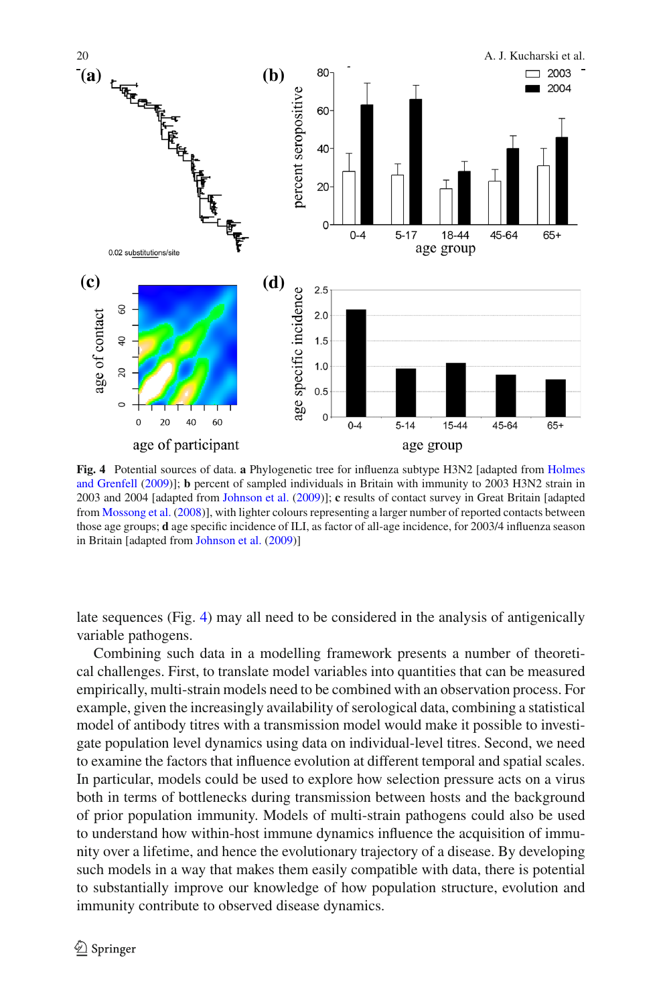

<span id="page-20-0"></span>**Fig. 4** Potential sources of data. **a** [Phylogenetic](#page-23-22) [tree](#page-23-22) [for](#page-23-22) [influenza](#page-23-22) [subtype](#page-23-22) [H3N2](#page-23-22) [\[adapted](#page-23-22) [from](#page-23-22) Holmes and Grenfell [\(2009](#page-23-22))]; **b** percent of sampled individuals in Britain with immunity to 2003 H3N2 strain in 2003 and 2004 [adapted from [Johnson et al.](#page-23-23) [\(2009\)](#page-23-23)]; **c** results of contact survey in Great Britain [adapted from [Mossong et al.](#page-23-16) [\(2008\)](#page-23-16)], with lighter colours representing a larger number of reported contacts between those age groups; **d** age specific incidence of ILI, as factor of all-age incidence, for 2003/4 influenza season in Britain [adapted from [Johnson et al.](#page-23-23) [\(2009](#page-23-23))]

late sequences (Fig. [4\)](#page-20-0) may all need to be considered in the analysis of antigenically variable pathogens.

Combining such data in a modelling framework presents a number of theoretical challenges. First, to translate model variables into quantities that can be measured empirically, multi-strain models need to be combined with an observation process. For example, given the increasingly availability of serological data, combining a statistical model of antibody titres with a transmission model would make it possible to investigate population level dynamics using data on individual-level titres. Second, we need to examine the factors that influence evolution at different temporal and spatial scales. In particular, models could be used to explore how selection pressure acts on a virus both in terms of bottlenecks during transmission between hosts and the background of prior population immunity. Models of multi-strain pathogens could also be used to understand how within-host immune dynamics influence the acquisition of immunity over a lifetime, and hence the evolutionary trajectory of a disease. By developing such models in a way that makes them easily compatible with data, there is potential to substantially improve our knowledge of how population structure, evolution and immunity contribute to observed disease dynamics.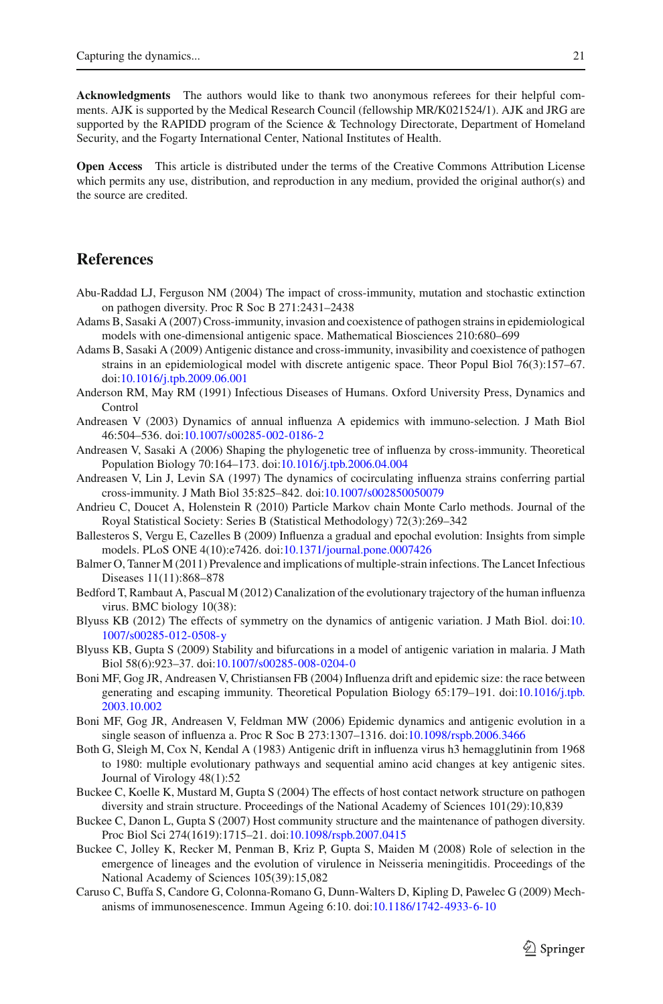**Acknowledgments** The authors would like to thank two anonymous referees for their helpful comments. AJK is supported by the Medical Research Council (fellowship MR/K021524/1). AJK and JRG are supported by the RAPIDD program of the Science & Technology Directorate, Department of Homeland Security, and the Fogarty International Center, National Institutes of Health.

**Open Access** This article is distributed under the terms of the Creative Commons Attribution License which permits any use, distribution, and reproduction in any medium, provided the original author(s) and the source are credited.

# **References**

- <span id="page-21-5"></span>Abu-Raddad LJ, Ferguson NM (2004) The impact of cross-immunity, mutation and stochastic extinction on pathogen diversity. Proc R Soc B 271:2431–2438
- <span id="page-21-13"></span>Adams B, Sasaki A (2007) Cross-immunity, invasion and coexistence of pathogen strains in epidemiological models with one-dimensional antigenic space. Mathematical Biosciences 210:680–699
- <span id="page-21-14"></span>Adams B, Sasaki A (2009) Antigenic distance and cross-immunity, invasibility and coexistence of pathogen strains in an epidemiological model with discrete antigenic space. Theor Popul Biol 76(3):157–67. doi[:10.1016/j.tpb.2009.06.001](http://dx.doi.org/10.1016/j.tpb.2009.06.001)
- <span id="page-21-4"></span>Anderson RM, May RM (1991) Infectious Diseases of Humans. Oxford University Press, Dynamics and Control
- <span id="page-21-9"></span>Andreasen V (2003) Dynamics of annual influenza A epidemics with immuno-selection. J Math Biol 46:504–536. doi[:10.1007/s00285-002-0186-2](http://dx.doi.org/10.1007/s00285-002-0186-2)
- <span id="page-21-6"></span>Andreasen V, Sasaki A (2006) Shaping the phylogenetic tree of influenza by cross-immunity. Theoretical Population Biology 70:164–173. doi[:10.1016/j.tpb.2006.04.004](http://dx.doi.org/10.1016/j.tpb.2006.04.004)
- <span id="page-21-3"></span>Andreasen V, Lin J, Levin SA (1997) The dynamics of cocirculating influenza strains conferring partial cross-immunity. J Math Biol 35:825–842. doi[:10.1007/s002850050079](http://dx.doi.org/10.1007/s002850050079)
- <span id="page-21-17"></span>Andrieu C, Doucet A, Holenstein R (2010) Particle Markov chain Monte Carlo methods. Journal of the Royal Statistical Society: Series B (Statistical Methodology) 72(3):269–342
- <span id="page-21-7"></span>Ballesteros S, Vergu E, Cazelles B (2009) Influenza a gradual and epochal evolution: Insights from simple models. PLoS ONE 4(10):e7426. doi[:10.1371/journal.pone.0007426](http://dx.doi.org/10.1371/journal.pone.0007426)
- <span id="page-21-0"></span>Balmer O, Tanner M (2011) Prevalence and implications of multiple-strain infections. The Lancet Infectious Diseases 11(11):868–878
- <span id="page-21-2"></span>Bedford T, Rambaut A, Pascual M (2012) Canalization of the evolutionary trajectory of the human influenza virus. BMC biology 10(38):
- <span id="page-21-16"></span>Blyuss KB (2012) The effects of symmetry on the dynamics of antigenic variation. J Math Biol. doi[:10.](http://dx.doi.org/10.1007/s00285-012-0508-y) [1007/s00285-012-0508-y](http://dx.doi.org/10.1007/s00285-012-0508-y)
- <span id="page-21-15"></span>Blyuss KB, Gupta S (2009) Stability and bifurcations in a model of antigenic variation in malaria. J Math Biol 58(6):923–37. doi[:10.1007/s00285-008-0204-0](http://dx.doi.org/10.1007/s00285-008-0204-0)
- <span id="page-21-10"></span>Boni MF, Gog JR, Andreasen V, Christiansen FB (2004) Influenza drift and epidemic size: the race between generating and escaping immunity. Theoretical Population Biology 65:179–191. doi[:10.1016/j.tpb.](http://dx.doi.org/10.1016/j.tpb.2003.10.002) [2003.10.002](http://dx.doi.org/10.1016/j.tpb.2003.10.002)
- <span id="page-21-12"></span>Boni MF, Gog JR, Andreasen V, Feldman MW (2006) Epidemic dynamics and antigenic evolution in a single season of influenza a. Proc R Soc B 273:1307–1316. doi[:10.1098/rspb.2006.3466](http://dx.doi.org/10.1098/rspb.2006.3466)
- <span id="page-21-11"></span>Both G, Sleigh M, Cox N, Kendal A (1983) Antigenic drift in influenza virus h3 hemagglutinin from 1968 to 1980: multiple evolutionary pathways and sequential amino acid changes at key antigenic sites. Journal of Virology 48(1):52
- <span id="page-21-18"></span>Buckee C, Koelle K, Mustard M, Gupta S (2004) The effects of host contact network structure on pathogen diversity and strain structure. Proceedings of the National Academy of Sciences 101(29):10,839
- <span id="page-21-19"></span>Buckee C, Danon L, Gupta S (2007) Host community structure and the maintenance of pathogen diversity. Proc Biol Sci 274(1619):1715–21. doi[:10.1098/rspb.2007.0415](http://dx.doi.org/10.1098/rspb.2007.0415)
- <span id="page-21-1"></span>Buckee C, Jolley K, Recker M, Penman B, Kriz P, Gupta S, Maiden M (2008) Role of selection in the emergence of lineages and the evolution of virulence in Neisseria meningitidis. Proceedings of the National Academy of Sciences 105(39):15,082
- <span id="page-21-8"></span>Caruso C, Buffa S, Candore G, Colonna-Romano G, Dunn-Walters D, Kipling D, Pawelec G (2009) Mechanisms of immunosenescence. Immun Ageing 6:10. doi[:10.1186/1742-4933-6-10](http://dx.doi.org/10.1186/1742-4933-6-10)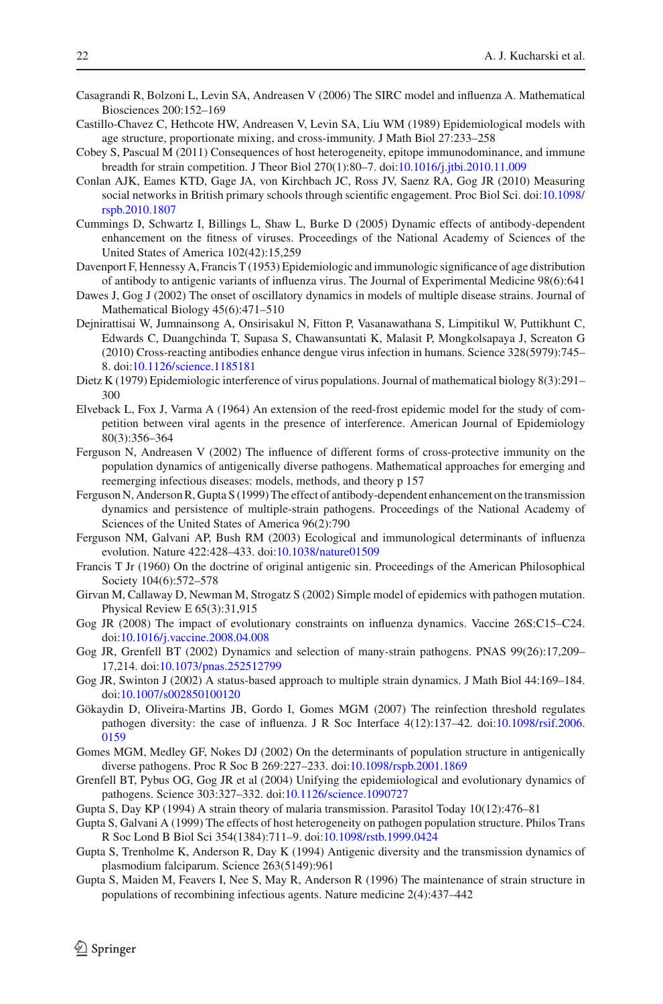- <span id="page-22-11"></span>Casagrandi R, Bolzoni L, Levin SA, Andreasen V (2006) The SIRC model and influenza A. Mathematical Biosciences 200:152–169
- <span id="page-22-4"></span>Castillo-Chavez C, Hethcote HW, Andreasen V, Levin SA, Liu WM (1989) Epidemiological models with age structure, proportionate mixing, and cross-immunity. J Math Biol 27:233–258
- <span id="page-22-20"></span>Cobey S, Pascual M (2011) Consequences of host heterogeneity, epitope immunodominance, and immune breadth for strain competition. J Theor Biol 270(1):80–7. doi[:10.1016/j.jtbi.2010.11.009](http://dx.doi.org/10.1016/j.jtbi.2010.11.009)
- <span id="page-22-21"></span>Conlan AJK, Eames KTD, Gage JA, von Kirchbach JC, Ross JV, Saenz RA, Gog JR (2010) Measuring social networks in British primary schools through scientific engagement. Proc Biol Sci. doi[:10.1098/](http://dx.doi.org/10.1098/rspb.2010.1807) [rspb.2010.1807](http://dx.doi.org/10.1098/rspb.2010.1807)
- <span id="page-22-24"></span>Cummings D, Schwartz I, Billings L, Shaw L, Burke D (2005) Dynamic effects of antibody-dependent enhancement on the fitness of viruses. Proceedings of the National Academy of Sciences of the United States of America 102(42):15,259
- <span id="page-22-1"></span>Davenport F, Hennessy A, Francis T (1953) Epidemiologic and immunologic significance of age distribution of antibody to antigenic variants of influenza virus. The Journal of Experimental Medicine 98(6):641
- <span id="page-22-18"></span>Dawes J, Gog J (2002) The onset of oscillatory dynamics in models of multiple disease strains. Journal of Mathematical Biology 45(6):471–510
- <span id="page-22-22"></span>Dejnirattisai W, Jumnainsong A, Onsirisakul N, Fitton P, Vasanawathana S, Limpitikul W, Puttikhunt C, Edwards C, Duangchinda T, Supasa S, Chawansuntati K, Malasit P, Mongkolsapaya J, Screaton G (2010) Cross-reacting antibodies enhance dengue virus infection in humans. Science 328(5979):745– 8. doi[:10.1126/science.1185181](http://dx.doi.org/10.1126/science.1185181)
- <span id="page-22-3"></span>Dietz K (1979) Epidemiologic interference of virus populations. Journal of mathematical biology 8(3):291– 300
- <span id="page-22-2"></span>Elveback L, Fox J, Varma A (1964) An extension of the reed-frost epidemic model for the study of competition between viral agents in the presence of interference. American Journal of Epidemiology 80(3):356–364
- <span id="page-22-12"></span>Ferguson N, Andreasen V (2002) The influence of different forms of cross-protective immunity on the population dynamics of antigenically diverse pathogens. Mathematical approaches for emerging and reemerging infectious diseases: models, methods, and theory p 157
- <span id="page-22-23"></span>Ferguson N, Anderson R, Gupta S (1999) The effect of antibody-dependent enhancement on the transmission dynamics and persistence of multiple-strain pathogens. Proceedings of the National Academy of Sciences of the United States of America 96(2):790
- <span id="page-22-9"></span>Ferguson NM, Galvani AP, Bush RM (2003) Ecological and immunological determinants of influenza evolution. Nature 422:428–433. doi[:10.1038/nature01509](http://dx.doi.org/10.1038/nature01509)
- <span id="page-22-8"></span>Francis T Jr (1960) On the doctrine of original antigenic sin. Proceedings of the American Philosophical Society 104(6):572–578
- <span id="page-22-10"></span>Girvan M, Callaway D, Newman M, Strogatz S (2002) Simple model of epidemics with pathogen mutation. Physical Review E 65(3):31,915
- <span id="page-22-16"></span>Gog JR (2008) The impact of evolutionary constraints on influenza dynamics. Vaccine 26S:C15–C24. doi[:10.1016/j.vaccine.2008.04.008](http://dx.doi.org/10.1016/j.vaccine.2008.04.008)
- <span id="page-22-15"></span>Gog JR, Grenfell BT (2002) Dynamics and selection of many-strain pathogens. PNAS 99(26):17,209– 17,214. doi[:10.1073/pnas.252512799](http://dx.doi.org/10.1073/pnas.252512799)
- <span id="page-22-14"></span>Gog JR, Swinton J (2002) A status-based approach to multiple strain dynamics. J Math Biol 44:169–184. doi[:10.1007/s002850100120](http://dx.doi.org/10.1007/s002850100120)
- <span id="page-22-17"></span>Gökaydin D, Oliveira-Martins JB, Gordo I, Gomes MGM (2007) The reinfection threshold regulates pathogen diversity: the case of influenza. J R Soc Interface 4(12):137–42. doi[:10.1098/rsif.2006.](http://dx.doi.org/10.1098/rsif.2006.0159) [0159](http://dx.doi.org/10.1098/rsif.2006.0159)
- <span id="page-22-13"></span>Gomes MGM, Medley GF, Nokes DJ (2002) On the determinants of population structure in antigenically diverse pathogens. Proc R Soc B 269:227–233. doi[:10.1098/rspb.2001.1869](http://dx.doi.org/10.1098/rspb.2001.1869)
- <span id="page-22-0"></span>Grenfell BT, Pybus OG, Gog JR et al (2004) Unifying the epidemiological and evolutionary dynamics of pathogens. Science 303:327–332. doi[:10.1126/science.1090727](http://dx.doi.org/10.1126/science.1090727)
- <span id="page-22-5"></span>Gupta S, Day KP (1994) A strain theory of malaria transmission. Parasitol Today 10(12):476–81
- <span id="page-22-19"></span>Gupta S, Galvani A (1999) The effects of host heterogeneity on pathogen population structure. Philos Trans R Soc Lond B Biol Sci 354(1384):711–9. doi[:10.1098/rstb.1999.0424](http://dx.doi.org/10.1098/rstb.1999.0424)
- <span id="page-22-6"></span>Gupta S, Trenholme K, Anderson R, Day K (1994) Antigenic diversity and the transmission dynamics of plasmodium falciparum. Science 263(5149):961
- <span id="page-22-7"></span>Gupta S, Maiden M, Feavers I, Nee S, May R, Anderson R (1996) The maintenance of strain structure in populations of recombining infectious agents. Nature medicine 2(4):437–442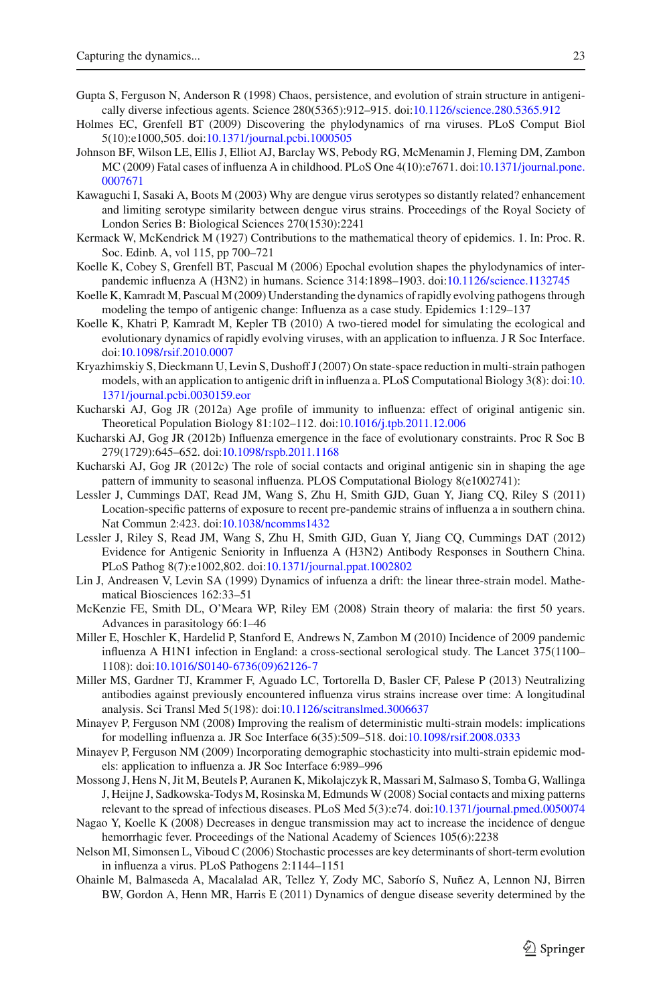- <span id="page-23-3"></span>Gupta S, Ferguson N, Anderson R (1998) Chaos, persistence, and evolution of strain structure in antigenically diverse infectious agents. Science 280(5365):912–915. doi[:10.1126/science.280.5365.912](http://dx.doi.org/10.1126/science.280.5365.912)
- <span id="page-23-22"></span>Holmes EC, Grenfell BT (2009) Discovering the phylodynamics of rna viruses. PLoS Comput Biol 5(10):e1000,505. doi[:10.1371/journal.pcbi.1000505](http://dx.doi.org/10.1371/journal.pcbi.1000505)
- <span id="page-23-23"></span>Johnson BF, Wilson LE, Ellis J, Elliot AJ, Barclay WS, Pebody RG, McMenamin J, Fleming DM, Zambon MC (2009) Fatal cases of influenza A in childhood. PLoS One 4(10):e7671. doi[:10.1371/journal.pone.](http://dx.doi.org/10.1371/journal.pone.0007671) [0007671](http://dx.doi.org/10.1371/journal.pone.0007671)
- <span id="page-23-20"></span>Kawaguchi I, Sasaki A, Boots M (2003) Why are dengue virus serotypes so distantly related? enhancement and limiting serotype similarity between dengue virus strains. Proceedings of the Royal Society of London Series B: Biological Sciences 270(1530):2241
- <span id="page-23-1"></span>Kermack W, McKendrick M (1927) Contributions to the mathematical theory of epidemics. 1. In: Proc. R. Soc. Edinb. A, vol 115, pp 700–721
- <span id="page-23-9"></span>Koelle K, Cobey S, Grenfell BT, Pascual M (2006) Epochal evolution shapes the phylodynamics of interpandemic influenza A (H3N2) in humans. Science 314:1898–1903. doi[:10.1126/science.1132745](http://dx.doi.org/10.1126/science.1132745)
- <span id="page-23-11"></span>Koelle K, Kamradt M, Pascual M (2009) Understanding the dynamics of rapidly evolving pathogens through modeling the tempo of antigenic change: Influenza as a case study. Epidemics 1:129–137
- <span id="page-23-10"></span>Koelle K, Khatri P, Kamradt M, Kepler TB (2010) A two-tiered model for simulating the ecological and evolutionary dynamics of rapidly evolving viruses, with an application to influenza. J R Soc Interface. doi[:10.1098/rsif.2010.0007](http://dx.doi.org/10.1098/rsif.2010.0007)
- <span id="page-23-7"></span>Kryazhimskiy S, Dieckmann U, Levin S, Dushoff J (2007) On state-space reduction in multi-strain pathogen models, with an application to antigenic drift in influenza a. PLoS Computational Biology 3(8): doi[:10.](http://dx.doi.org/10.1371/journal.pcbi.0030159.eor) [1371/journal.pcbi.0030159.eor](http://dx.doi.org/10.1371/journal.pcbi.0030159.eor)
- <span id="page-23-5"></span>Kucharski AJ, Gog JR (2012a) Age profile of immunity to influenza: effect of original antigenic sin. Theoretical Population Biology 81:102–112. doi[:10.1016/j.tpb.2011.12.006](http://dx.doi.org/10.1016/j.tpb.2011.12.006)
- <span id="page-23-13"></span>Kucharski AJ, Gog JR (2012b) Influenza emergence in the face of evolutionary constraints. Proc R Soc B 279(1729):645–652. doi[:10.1098/rspb.2011.1168](http://dx.doi.org/10.1098/rspb.2011.1168)
- <span id="page-23-6"></span>Kucharski AJ, Gog JR (2012c) The role of social contacts and original antigenic sin in shaping the age pattern of immunity to seasonal influenza. PLOS Computational Biology 8(e1002741):
- <span id="page-23-15"></span>Lessler J, Cummings DAT, Read JM, Wang S, Zhu H, Smith GJD, Guan Y, Jiang CQ, Riley S (2011) Location-specific patterns of exposure to recent pre-pandemic strains of influenza a in southern china. Nat Commun 2:423. doi[:10.1038/ncomms1432](http://dx.doi.org/10.1038/ncomms1432)
- <span id="page-23-17"></span>Lessler J, Riley S, Read JM, Wang S, Zhu H, Smith GJD, Guan Y, Jiang CQ, Cummings DAT (2012) Evidence for Antigenic Seniority in Influenza A (H3N2) Antibody Responses in Southern China. PLoS Pathog 8(7):e1002,802. doi[:10.1371/journal.ppat.1002802](http://dx.doi.org/10.1371/journal.ppat.1002802)
- <span id="page-23-2"></span>Lin J, Andreasen V, Levin SA (1999) Dynamics of infuenza a drift: the linear three-strain model. Mathematical Biosciences 162:33–51
- <span id="page-23-0"></span>McKenzie FE, Smith DL, O'Meara WP, Riley EM (2008) Strain theory of malaria: the first 50 years. Advances in parasitology 66:1–46
- <span id="page-23-8"></span>Miller E, Hoschler K, Hardelid P, Stanford E, Andrews N, Zambon M (2010) Incidence of 2009 pandemic influenza A H1N1 infection in England: a cross-sectional serological study. The Lancet 375(1100– 1108): doi[:10.1016/S0140-6736\(09\)62126-7](http://dx.doi.org/10.1016/S0140-6736(09)62126-7)
- <span id="page-23-18"></span>Miller MS, Gardner TJ, Krammer F, Aguado LC, Tortorella D, Basler CF, Palese P (2013) Neutralizing antibodies against previously encountered influenza virus strains increase over time: A longitudinal analysis. Sci Transl Med 5(198): doi[:10.1126/scitranslmed.3006637](http://dx.doi.org/10.1126/scitranslmed.3006637)
- <span id="page-23-4"></span>Minayev P, Ferguson NM (2008) Improving the realism of deterministic multi-strain models: implications for modelling influenza a. JR Soc Interface 6(35):509–518. doi[:10.1098/rsif.2008.0333](http://dx.doi.org/10.1098/rsif.2008.0333)
- <span id="page-23-12"></span>Minayev P, Ferguson NM (2009) Incorporating demographic stochasticity into multi-strain epidemic models: application to influenza a. JR Soc Interface 6:989–996
- <span id="page-23-16"></span>Mossong J, Hens N, Jit M, Beutels P, Auranen K, Mikolajczyk R, Massari M, Salmaso S, Tomba G, Wallinga J, Heijne J, Sadkowska-Todys M, Rosinska M, Edmunds W (2008) Social contacts and mixing patterns relevant to the spread of infectious diseases. PLoS Med 5(3):e74. doi[:10.1371/journal.pmed.0050074](http://dx.doi.org/10.1371/journal.pmed.0050074)
- <span id="page-23-19"></span>Nagao Y, Koelle K (2008) Decreases in dengue transmission may act to increase the incidence of dengue hemorrhagic fever. Proceedings of the National Academy of Sciences 105(6):2238
- <span id="page-23-14"></span>Nelson MI, Simonsen L, Viboud C (2006) Stochastic processes are key determinants of short-term evolution in influenza a virus. PLoS Pathogens 2:1144–1151
- <span id="page-23-21"></span>Ohainle M, Balmaseda A, Macalalad AR, Tellez Y, Zody MC, Saborío S, Nuñez A, Lennon NJ, Birren BW, Gordon A, Henn MR, Harris E (2011) Dynamics of dengue disease severity determined by the